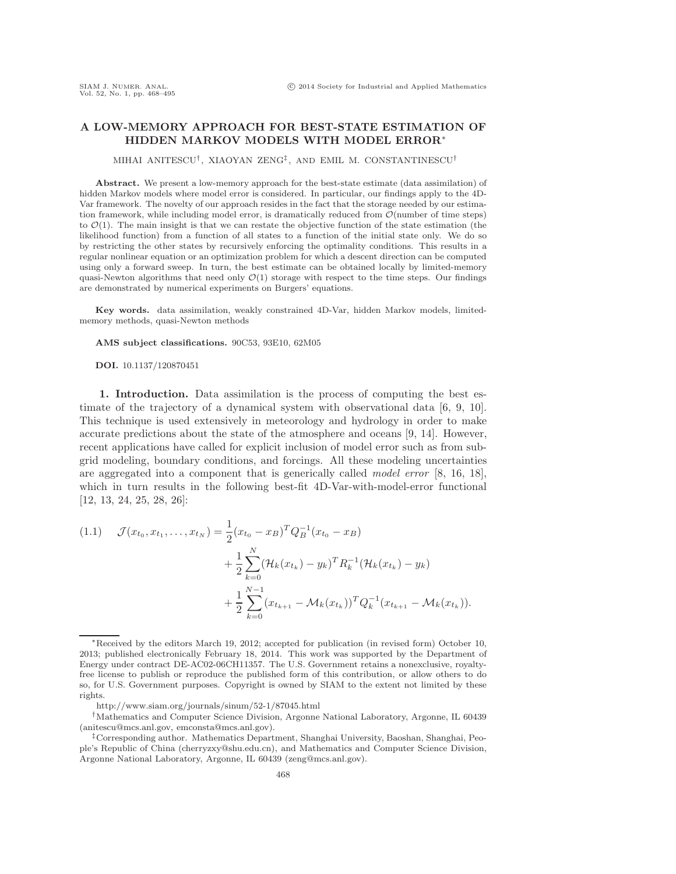## **A LOW-MEMORY APPROACH FOR BEST-STATE ESTIMATION OF HIDDEN MARKOV MODELS WITH MODEL ERROR**∗

MIHAI ANITESCU†, XIAOYAN ZENG‡ , AND EMIL M. CONSTANTINESCU†

**Abstract.** We present a low-memory approach for the best-state estimate (data assimilation) of hidden Markov models where model error is considered. In particular, our findings apply to the 4D-Var framework. The novelty of our approach resides in the fact that the storage needed by our estimation framework, while including model error, is dramatically reduced from  $\mathcal{O}($ number of time steps) to  $\mathcal{O}(1)$ . The main insight is that we can restate the objective function of the state estimation (the likelihood function) from a function of all states to a function of the initial state only. We do so by restricting the other states by recursively enforcing the optimality conditions. This results in a regular nonlinear equation or an optimization problem for which a descent direction can be computed using only a forward sweep. In turn, the best estimate can be obtained locally by limited-memory quasi-Newton algorithms that need only  $\mathcal{O}(1)$  storage with respect to the time steps. Our findings are demonstrated by numerical experiments on Burgers' equations.

**Key words.** data assimilation, weakly constrained 4D-Var, hidden Markov models, limitedmemory methods, quasi-Newton methods

**AMS subject classifications.** 90C53, 93E10, 62M05

**DOI.** 10.1137/120870451

**1. Introduction.** Data assimilation is the process of computing the best estimate of the trajectory of a dynamical system with observational data [6, 9, 10]. This technique is used extensively in meteorology and hydrology in order to make accurate predictions about the state of the atmosphere and oceans [9, 14]. However, recent applications have called for explicit inclusion of model error such as from subgrid modeling, boundary conditions, and forcings. All these modeling uncertainties are aggregated into a component that is generically called *model error* [8, 16, 18], which in turn results in the following best-fit 4D-Var-with-model-error functional [12, 13, 24, 25, 28, 26]:

$$
(1.1) \quad \mathcal{J}(x_{t_0}, x_{t_1}, \dots, x_{t_N}) = \frac{1}{2} (x_{t_0} - x_B)^T Q_B^{-1} (x_{t_0} - x_B) + \frac{1}{2} \sum_{k=0}^N (\mathcal{H}_k (x_{t_k}) - y_k)^T R_k^{-1} (\mathcal{H}_k (x_{t_k}) - y_k) + \frac{1}{2} \sum_{k=0}^{N-1} (x_{t_{k+1}} - \mathcal{M}_k (x_{t_k}))^T Q_k^{-1} (x_{t_{k+1}} - \mathcal{M}_k (x_{t_k})).
$$

<sup>∗</sup>Received by the editors March 19, 2012; accepted for publication (in revised form) October 10, 2013; published electronically February 18, 2014. This work was supported by the Department of Energy under contract DE-AC02-06CH11357. The U.S. Government retains a nonexclusive, royaltyfree license to publish or reproduce the published form of this contribution, or allow others to do so, for U.S. Government purposes. Copyright is owned by SIAM to the extent not limited by these rights.

http://www.siam.org/journals/sinum/52-1/87045.html

<sup>†</sup>Mathematics and Computer Science Division, Argonne National Laboratory, Argonne, IL 60439 (anitescu@mcs.anl.gov, emconsta@mcs.anl.gov).

<sup>‡</sup>Corresponding author. Mathematics Department, Shanghai University, Baoshan, Shanghai, People's Republic of China (cherryzxy@shu.edu.cn), and Mathematics and Computer Science Division, Argonne National Laboratory, Argonne, IL 60439 (zeng@mcs.anl.gov).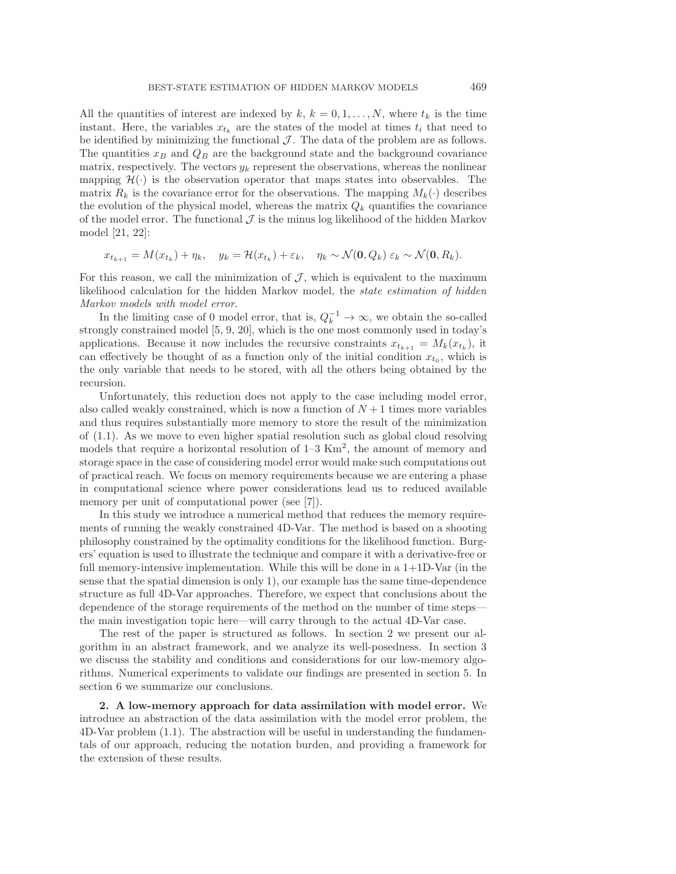All the quantities of interest are indexed by  $k, k = 0, 1, \ldots, N$ , where  $t_k$  is the time instant. Here, the variables  $x_{t_k}$  are the states of the model at times  $t_i$  that need to be identified by minimizing the functional  $J$ . The data of the problem are as follows. The quantities  $x_B$  and  $Q_B$  are the background state and the background covariance matrix, respectively. The vectors  $y_k$  represent the observations, whereas the nonlinear mapping  $\mathcal{H}(\cdot)$  is the observation operator that maps states into observables. The matrix  $R_k$  is the covariance error for the observations. The mapping  $M_k(\cdot)$  describes the evolution of the physical model, whereas the matrix  $Q_k$  quantifies the covariance of the model error. The functional  $\mathcal J$  is the minus log likelihood of the hidden Markov model [21, 22]:

$$
x_{t_{k+1}} = M(x_{t_k}) + \eta_k, \quad y_k = \mathcal{H}(x_{t_k}) + \varepsilon_k, \quad \eta_k \sim \mathcal{N}(\mathbf{0}, Q_k) \varepsilon_k \sim \mathcal{N}(\mathbf{0}, R_k).
$$

For this reason, we call the minimization of  $J$ , which is equivalent to the maximum likelihood calculation for the hidden Markov model, the *state estimation of hidden Markov models with model error*.

In the limiting case of 0 model error, that is,  $Q_k^{-1} \to \infty$ , we obtain the so-called strongly constrained model [5, 9, 20], which is the one most commonly used in today's applications. Because it now includes the recursive constraints  $x_{t_{k+1}} = M_k(x_{t_k})$ , it can effectively be thought of as a function only of the initial condition  $x_{t_0}$ , which is the only variable that needs to be stored, with all the others being obtained by the recursion.

Unfortunately, this reduction does not apply to the case including model error, also called weakly constrained, which is now a function of  $N+1$  times more variables and thus requires substantially more memory to store the result of the minimization of (1.1). As we move to even higher spatial resolution such as global cloud resolving models that require a horizontal resolution of  $1-3$  Km<sup>2</sup>, the amount of memory and storage space in the case of considering model error would make such computations out of practical reach. We focus on memory requirements because we are entering a phase in computational science where power considerations lead us to reduced available memory per unit of computational power (see [7]).

In this study we introduce a numerical method that reduces the memory requirements of running the weakly constrained 4D-Var. The method is based on a shooting philosophy constrained by the optimality conditions for the likelihood function. Burgers' equation is used to illustrate the technique and compare it with a derivative-free or full memory-intensive implementation. While this will be done in a  $1+1D-Var$  (in the sense that the spatial dimension is only 1), our example has the same time-dependence structure as full 4D-Var approaches. Therefore, we expect that conclusions about the dependence of the storage requirements of the method on the number of time steps the main investigation topic here—will carry through to the actual 4D-Var case.

The rest of the paper is structured as follows. In section 2 we present our algorithm in an abstract framework, and we analyze its well-posedness. In section 3 we discuss the stability and conditions and considerations for our low-memory algorithms. Numerical experiments to validate our findings are presented in section 5. In section 6 we summarize our conclusions.

**2. A low-memory approach for data assimilation with model error.** We introduce an abstraction of the data assimilation with the model error problem, the 4D-Var problem (1.1). The abstraction will be useful in understanding the fundamentals of our approach, reducing the notation burden, and providing a framework for the extension of these results.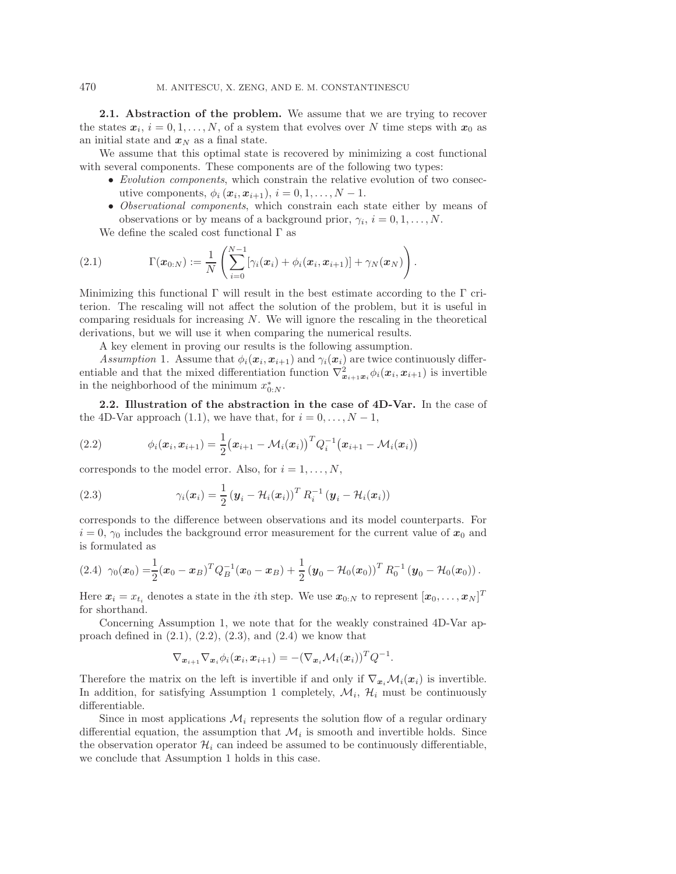**2.1. Abstraction of the problem.** We assume that we are trying to recover the states  $x_i$ ,  $i = 0, 1, \ldots, N$ , of a system that evolves over N time steps with  $x_0$  as an initial state and  $x_N$  as a final state.

We assume that this optimal state is recovered by minimizing a cost functional with several components. These components are of the following two types:

- *Evolution components*, which constrain the relative evolution of two consecutive components,  $\phi_i(\mathbf{x}_i, \mathbf{x}_{i+1}), i = 0, 1, \ldots, N - 1.$
- *Observational components*, which constrain each state either by means of observations or by means of a background prior,  $\gamma_i$ ,  $i = 0, 1, \ldots, N$ .

We define the scaled cost functional  $\Gamma$  as

(2.1) 
$$
\Gamma(\boldsymbol{x}_{0:N}) := \frac{1}{N} \left( \sum_{i=0}^{N-1} [\gamma_i(\boldsymbol{x}_i) + \phi_i(\boldsymbol{x}_i, \boldsymbol{x}_{i+1})] + \gamma_N(\boldsymbol{x}_N) \right).
$$

Minimizing this functional  $\Gamma$  will result in the best estimate according to the  $\Gamma$  criterion. The rescaling will not affect the solution of the problem, but it is useful in comparing residuals for increasing  $N$ . We will ignore the rescaling in the theoretical derivations, but we will use it when comparing the numerical results.

A key element in proving our results is the following assumption.

*Assumption* 1. Assume that  $\phi_i(\mathbf{x}_i, \mathbf{x}_{i+1})$  and  $\gamma_i(\mathbf{x}_i)$  are twice continuously differentiable and that the mixed differentiation function  $\nabla^2_{x_{i+1}x_i}\phi_i(x_i, x_{i+1})$  is invertible in the neighborhood of the minimum  $x^*_{0:N}$ .

**2.2. Illustration of the abstraction in the case of 4D-Var.** In the case of the 4D-Var approach (1.1), we have that, for  $i = 0, \ldots, N - 1$ ,

(2.2) 
$$
\phi_i(\mathbf{x}_i, \mathbf{x}_{i+1}) = \frac{1}{2} (\mathbf{x}_{i+1} - \mathcal{M}_i(\mathbf{x}_i))^T Q_i^{-1} (\mathbf{x}_{i+1} - \mathcal{M}_i(\mathbf{x}_i))
$$

corresponds to the model error. Also, for  $i = 1, \ldots, N$ ,

(2.3) 
$$
\gamma_i(\boldsymbol{x}_i) = \frac{1}{2} (\boldsymbol{y}_i - \mathcal{H}_i(\boldsymbol{x}_i))^T R_i^{-1} (\boldsymbol{y}_i - \mathcal{H}_i(\boldsymbol{x}_i))
$$

corresponds to the difference between observations and its model counterparts. For  $i = 0$ ,  $\gamma_0$  includes the background error measurement for the current value of  $x_0$  and is formulated as

$$
(2.4) \ \gamma_0(\boldsymbol{x}_0) = \frac{1}{2}(\boldsymbol{x}_0 - \boldsymbol{x}_B)^T Q_B^{-1}(\boldsymbol{x}_0 - \boldsymbol{x}_B) + \frac{1}{2} (\boldsymbol{y}_0 - \mathcal{H}_0(\boldsymbol{x}_0))^T R_0^{-1} (\boldsymbol{y}_0 - \mathcal{H}_0(\boldsymbol{x}_0)).
$$

Here  $\boldsymbol{x}_i = x_{t_i}$  denotes a state in the *i*th step. We use  $\boldsymbol{x}_{0:N}$  to represent  $[\boldsymbol{x}_0, \dots, \boldsymbol{x}_N]^T$ for shorthand.

Concerning Assumption 1, we note that for the weakly constrained 4D-Var approach defined in  $(2.1)$ ,  $(2.2)$ ,  $(2.3)$ , and  $(2.4)$  we know that

$$
\nabla_{\boldsymbol{x}_{i+1}} \nabla_{\boldsymbol{x}_i} \phi_i(\boldsymbol{x}_i, \boldsymbol{x}_{i+1}) = -(\nabla_{\boldsymbol{x}_i} \mathcal{M}_i(\boldsymbol{x}_i))^T Q^{-1}.
$$

Therefore the matrix on the left is invertible if and only if  $\nabla_{x_i} \mathcal{M}_i(x_i)$  is invertible. In addition, for satisfying Assumption 1 completely,  $\mathcal{M}_i$ ,  $\mathcal{H}_i$  must be continuously differentiable.

Since in most applications  $\mathcal{M}_i$  represents the solution flow of a regular ordinary differential equation, the assumption that  $\mathcal{M}_i$  is smooth and invertible holds. Since the observation operator  $\mathcal{H}_i$  can indeed be assumed to be continuously differentiable, we conclude that Assumption 1 holds in this case.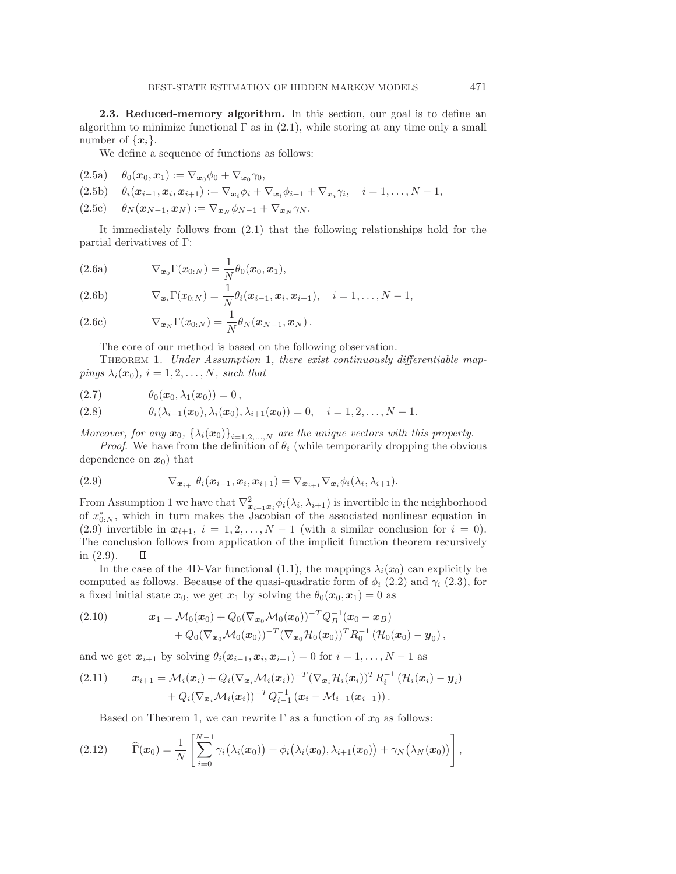**2.3. Reduced-memory algorithm.** In this section, our goal is to define an algorithm to minimize functional  $\Gamma$  as in (2.1), while storing at any time only a small number of  $\{x_i\}$ .

We define a sequence of functions as follows:

$$
(2.5a) \quad \theta_0(\boldsymbol{x}_0, \boldsymbol{x}_1) := \nabla_{\boldsymbol{x}_0} \phi_0 + \nabla_{\boldsymbol{x}_0} \gamma_0,
$$

$$
(2.5b) \quad \theta_i(\boldsymbol{x}_{i-1},\boldsymbol{x}_i,\boldsymbol{x}_{i+1}) := \nabla_{\boldsymbol{x}_i} \phi_i + \nabla_{\boldsymbol{x}_i} \phi_{i-1} + \nabla_{\boldsymbol{x}_i} \gamma_i, \quad i=1,\ldots,N-1,
$$

$$
(2.5c) \quad \theta_N(\boldsymbol{x}_{N-1},\boldsymbol{x}_N) := \nabla_{\boldsymbol{x}_N} \phi_{N-1} + \nabla_{\boldsymbol{x}_N} \gamma_N.
$$

It immediately follows from (2.1) that the following relationships hold for the partial derivatives of Γ:

(2.6a) 
$$
\nabla_{\boldsymbol{x}_0} \Gamma(x_{0:N}) = \frac{1}{N} \theta_0(\boldsymbol{x}_0, \boldsymbol{x}_1),
$$

(2.6b) 
$$
\nabla_{\bm{x}_i} \Gamma(x_{0:N}) = \frac{1}{N} \theta_i(\bm{x}_{i-1}, \bm{x}_i, \bm{x}_{i+1}), \quad i = 1, ..., N-1,
$$

(2.6c) 
$$
\nabla_{\boldsymbol{x}_N} \Gamma(x_{0:N}) = \frac{1}{N} \theta_N(\boldsymbol{x}_{N-1}, \boldsymbol{x}_N).
$$

The core of our method is based on the following observation.

Theorem 1. *Under Assumption* 1*, there exist continuously differentiable map* $pings \lambda_i(\mathbf{x}_0), i = 1, 2, \ldots, N$ *, such that* 

(2.7) 
$$
\theta_0(\mathbf{x}_0, \lambda_1(\mathbf{x}_0)) = 0,
$$

(2.8) 
$$
\theta_i(\lambda_{i-1}(x_0), \lambda_i(x_0), \lambda_{i+1}(x_0)) = 0, \quad i = 1, 2, ..., N-1.
$$

*Moreover, for any*  $x_0$ ,  $\{\lambda_i(x_0)\}_{i=1,2,...,N}$  *are the unique vectors with this property.* 

*Proof.* We have from the definition of  $\theta_i$  (while temporarily dropping the obvious dependence on  $x_0$ ) that

(2.9) 
$$
\nabla_{\boldsymbol{x}_{i+1}} \theta_i(\boldsymbol{x}_{i-1}, \boldsymbol{x}_i, \boldsymbol{x}_{i+1}) = \nabla_{\boldsymbol{x}_{i+1}} \nabla_{\boldsymbol{x}_i} \phi_i(\lambda_i, \lambda_{i+1}).
$$

From Assumption 1 we have that  $\nabla^2_{\mathbf{x}_{i+1}\mathbf{x}_i}\phi_i(\lambda_i, \lambda_{i+1})$  is invertible in the neighborhood of  $x_{0:N}^*$ , which in turn makes the Jacobian of the associated nonlinear equation in (2.9) invertible in  $x_{i+1}$ ,  $i = 1, 2, ..., N-1$  (with a similar conclusion for  $i = 0$ ). The conclusion follows from application of the implicit function theorem recursively in (2.9). 0

In the case of the 4D-Var functional (1.1), the mappings  $\lambda_i(x_0)$  can explicitly be computed as follows. Because of the quasi-quadratic form of  $\phi_i$  (2.2) and  $\gamma_i$  (2.3), for a fixed initial state  $x_0$ , we get  $x_1$  by solving the  $\theta_0(x_0, x_1) = 0$  as

(2.10) 
$$
\mathbf{x}_1 = \mathcal{M}_0(\mathbf{x}_0) + Q_0(\nabla_{\mathbf{x}_0} \mathcal{M}_0(\mathbf{x}_0))^{-T} Q_B^{-1}(\mathbf{x}_0 - \mathbf{x}_B) \n+ Q_0(\nabla_{\mathbf{x}_0} \mathcal{M}_0(\mathbf{x}_0))^{-T} (\nabla_{\mathbf{x}_0} \mathcal{H}_0(\mathbf{x}_0))^T R_0^{-1} (\mathcal{H}_0(\mathbf{x}_0) - \mathbf{y}_0),
$$

and we get  $x_{i+1}$  by solving  $\theta_i(x_{i-1}, x_i, x_{i+1}) = 0$  for  $i = 1, \ldots, N-1$  as

$$
(2.11) \qquad \boldsymbol{x}_{i+1} = \mathcal{M}_i(\boldsymbol{x}_i) + Q_i(\nabla_{\boldsymbol{x}_i} \mathcal{M}_i(\boldsymbol{x}_i))^{-T} (\nabla_{\boldsymbol{x}_i} \mathcal{H}_i(\boldsymbol{x}_i))^T R_i^{-1} \left( \mathcal{H}_i(\boldsymbol{x}_i) - \boldsymbol{y}_i \right) \\ + Q_i(\nabla_{\boldsymbol{x}_i} \mathcal{M}_i(\boldsymbol{x}_i))^{-T} Q_{i-1}^{-1} \left( \boldsymbol{x}_i - \mathcal{M}_{i-1}(\boldsymbol{x}_{i-1}) \right).
$$

Based on Theorem 1, we can rewrite  $\Gamma$  as a function of  $x_0$  as follows:

$$
(2.12) \qquad \widehat{\Gamma}(\boldsymbol{x}_0) = \frac{1}{N} \left[ \sum_{i=0}^{N-1} \gamma_i(\lambda_i(\boldsymbol{x}_0)) + \phi_i(\lambda_i(\boldsymbol{x}_0), \lambda_{i+1}(\boldsymbol{x}_0)) + \gamma_N(\lambda_N(\boldsymbol{x}_0)) \right],
$$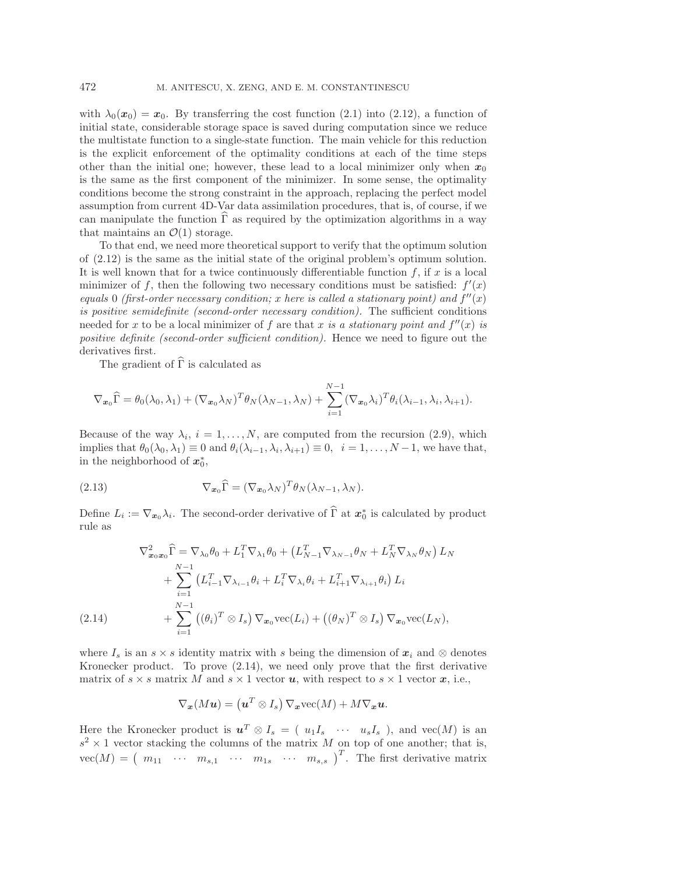with  $\lambda_0(x_0) = x_0$ . By transferring the cost function (2.1) into (2.12), a function of initial state, considerable storage space is saved during computation since we reduce the multistate function to a single-state function. The main vehicle for this reduction is the explicit enforcement of the optimality conditions at each of the time steps other than the initial one; however, these lead to a local minimizer only when  $x_0$ is the same as the first component of the minimizer. In some sense, the optimality conditions become the strong constraint in the approach, replacing the perfect model assumption from current 4D-Var data assimilation procedures, that is, of course, if we can manipulate the function  $\hat{\Gamma}$  as required by the optimization algorithms in a way that maintains an  $\mathcal{O}(1)$  storage.

To that end, we need more theoretical support to verify that the optimum solution of (2.12) is the same as the initial state of the original problem's optimum solution. It is well known that for a twice continuously differentiable function  $f$ , if  $x$  is a local minimizer of f, then the following two necessary conditions must be satisfied:  $f'(x)$ *equals* 0 *(first-order necessary condition;* x *here is called a stationary point)* and  $f''(x)$ *is positive semidefinite (second-order necessary condition).* The sufficient conditions needed for x to be a local minimizer of f are that x is a stationary point and  $f''(x)$  is *positive definite (second-order sufficient condition).* Hence we need to figure out the derivatives first.

The gradient of  $\widehat{\Gamma}$  is calculated as

$$
\nabla_{\boldsymbol{x}_0} \widehat{\boldsymbol{\Gamma}} = \theta_0(\lambda_0, \lambda_1) + (\nabla_{\boldsymbol{x}_0} \lambda_N)^T \theta_N(\lambda_{N-1}, \lambda_N) + \sum_{i=1}^{N-1} (\nabla_{\boldsymbol{x}_0} \lambda_i)^T \theta_i(\lambda_{i-1}, \lambda_i, \lambda_{i+1}).
$$

Because of the way  $\lambda_i$ ,  $i = 1, \ldots, N$ , are computed from the recursion (2.9), which implies that  $\theta_0(\lambda_0, \lambda_1) \equiv 0$  and  $\theta_i(\lambda_{i-1}, \lambda_i, \lambda_{i+1}) \equiv 0$ ,  $i = 1, \ldots, N-1$ , we have that, in the neighborhood of  $x_0^*$ ,

(2.13) 
$$
\nabla_{\mathbf{x}_0} \widehat{\Gamma} = (\nabla_{\mathbf{x}_0} \lambda_N)^T \theta_N (\lambda_{N-1}, \lambda_N).
$$

Define  $L_i := \nabla_{\mathbf{x}_0} \lambda_i$ . The second-order derivative of  $\Gamma$  at  $\mathbf{x}_0^*$  is calculated by product rule as

$$
\nabla_{\boldsymbol{x}_0 \boldsymbol{x}_0}^2 \widehat{\Gamma} = \nabla_{\lambda_0} \theta_0 + L_1^T \nabla_{\lambda_1} \theta_0 + \left( L_{N-1}^T \nabla_{\lambda_{N-1}} \theta_N + L_N^T \nabla_{\lambda_N} \theta_N \right) L_N + \sum_{i=1}^{N-1} \left( L_{i-1}^T \nabla_{\lambda_{i-1}} \theta_i + L_i^T \nabla_{\lambda_i} \theta_i + L_{i+1}^T \nabla_{\lambda_{i+1}} \theta_i \right) L_i + \sum_{i=1}^{N-1} \left( (\theta_i)^T \otimes I_s \right) \nabla_{\boldsymbol{x}_0} \text{vec}(L_i) + \left( (\theta_N)^T \otimes I_s \right) \nabla_{\boldsymbol{x}_0} \text{vec}(L_N),
$$

where  $I_s$  is an  $s \times s$  identity matrix with s being the dimension of  $x_i$  and  $\otimes$  denotes Kronecker product. To prove (2.14), we need only prove that the first derivative matrix of  $s \times s$  matrix M and  $s \times 1$  vector **u**, with respect to  $s \times 1$  vector **x**, i.e.,

$$
\nabla_{\boldsymbol{x}}(M\boldsymbol{u}) = \left(\boldsymbol{u}^T\otimes I_s\right)\nabla_{\boldsymbol{x}}\text{vec}(M) + M\nabla_{\boldsymbol{x}}\boldsymbol{u}.
$$

Here the Kronecker product is  $u^T \otimes I_s = (u_1 I_s \cdots u_s I_s)$ , and vec $(M)$  is an  $s^2 \times 1$  vector stacking the columns of the matrix M on top of one another; that is,  $vec(M) = (m_{11} \cdots m_{s,1} \cdots m_{1s} \cdots m_{s,s})^T$ . The first derivative matrix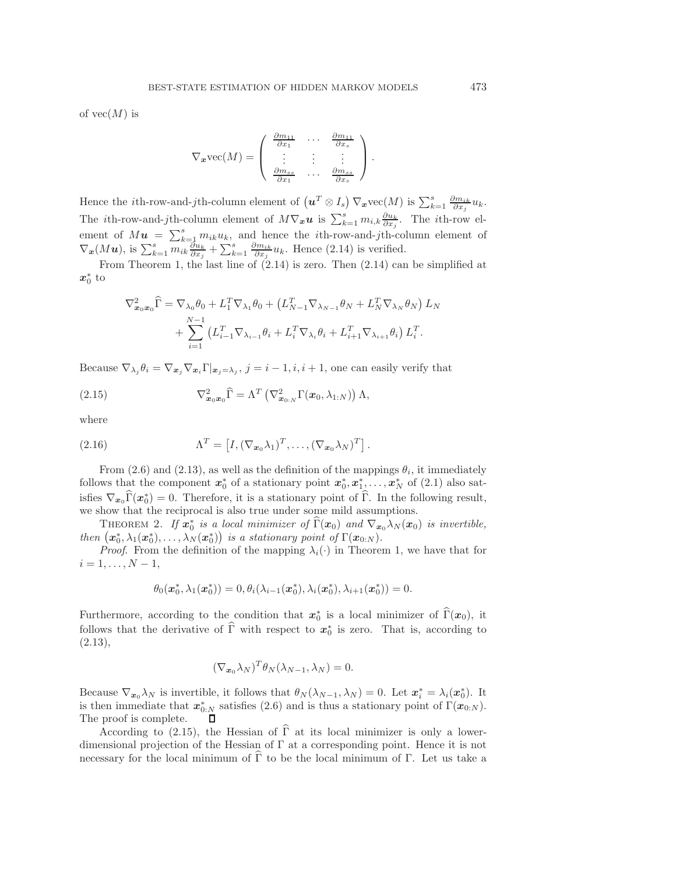of  $vec(M)$  is

$$
\nabla_{\mathbf{x}} \text{vec}(M) = \begin{pmatrix} \frac{\partial m_{11}}{\partial x_1} & \cdots & \frac{\partial m_{11}}{\partial x_s} \\ \vdots & \vdots & \vdots \\ \frac{\partial m_{ss}}{\partial x_1} & \cdots & \frac{\partial m_{ss}}{\partial x_s} \end{pmatrix}.
$$

Hence the *i*th-row-and-*j*th-column element of  $(u^T \otimes I_s) \nabla_x \text{vec}(M)$  is  $\sum_{k=1}^s \frac{\partial m_{ik}}{\partial x_j} u_k$ . The *i*th-row-and-jth-column element of  $M\nabla_x u$  is  $\sum_{k=1}^s m_{i,k} \frac{\partial u_k}{\partial x_j}$ . The *i*th-row element of  $M\boldsymbol{u} = \sum_{k=1}^{s} m_{ik}u_k$ , and hence the *i*th-row-and-*j*th-column element of  $\nabla_{\boldsymbol{x}}(M\boldsymbol{u})$ , is  $\sum_{k=1}^{s} m_{ik} \frac{\partial u_k}{\partial x_j} + \sum_{k=1}^{s} \frac{\partial m_{ik}}{\partial x_j} u_k$ . Hence (2.14) is verified.

From Theorem 1, the last line of (2.14) is zero. Then (2.14) can be simplified at  $x_0^*$  to

$$
\nabla_{\boldsymbol{x}_0\boldsymbol{x}_0}^2 \widehat{\Gamma} = \nabla_{\lambda_0} \theta_0 + L_1^T \nabla_{\lambda_1} \theta_0 + \left( L_{N-1}^T \nabla_{\lambda_{N-1}} \theta_N + L_N^T \nabla_{\lambda_N} \theta_N \right) L_N + \sum_{i=1}^{N-1} \left( L_{i-1}^T \nabla_{\lambda_{i-1}} \theta_i + L_i^T \nabla_{\lambda_i} \theta_i + L_{i+1}^T \nabla_{\lambda_{i+1}} \theta_i \right) L_i^T.
$$

Because  $\nabla_{\lambda_j} \theta_i = \nabla_{\boldsymbol{x}_j} \nabla_{\boldsymbol{x}_i} \Gamma |_{\boldsymbol{x}_j = \lambda_j}, \ j = i - 1, i, i + 1$ , one can easily verify that

(2.15) 
$$
\nabla^2_{\boldsymbol{x}_0\boldsymbol{x}_0} \widehat{\Gamma} = \Lambda^T \left( \nabla^2_{\boldsymbol{x}_{0:N}} \Gamma(\boldsymbol{x}_0, \lambda_{1:N}) \right) \Lambda,
$$

where

(2.16) 
$$
\Lambda^T = [I, (\nabla_{\mathbf{x}_0} \lambda_1)^T, \dots, (\nabla_{\mathbf{x}_0} \lambda_N)^T].
$$

From (2.6) and (2.13), as well as the definition of the mappings  $\theta_i$ , it immediately follows that the component  $x_0^*$  of a stationary point  $x_0^*, x_1^*, \ldots, x_N^*$  of (2.1) also satisfies  $\nabla_{\mathbf{x}_0} \Gamma(\mathbf{x}_0^*) = 0$ . Therefore, it is a stationary point of Γ. In the following result, we show that the reciprocal is also true under some mild assumptions.

THEOREM 2. If  $x_0^*$  *is a local minimizer of*  $\widehat{\Gamma}(x_0)$  *and*  $\nabla_{x_0} \lambda_N(x_0)$  *is invertible, then*  $(x_0^*, \lambda_1(x_0^*), \ldots, \lambda_N(x_0^*))$  *is a stationary point of*  $\Gamma(x_{0:N})$ *.* 

*Proof.* From the definition of the mapping  $\lambda_i(\cdot)$  in Theorem 1, we have that for  $i = 1, \ldots, N - 1,$ 

$$
\theta_0(\mathbf{\bm{\mathit{x}}}_0^*,\lambda_1(\mathbf{\bm{\mathit{x}}}_0^*))=0, \theta_i(\lambda_{i-1}(\mathbf{\bm{\mathit{x}}}_0^*),\lambda_i(\mathbf{\bm{\mathit{x}}}_0^*),\lambda_{i+1}(\mathbf{\bm{\mathit{x}}}_0^*))=0.
$$

Furthermore, according to the condition that  $x_0^*$  is a local minimizer of  $\Gamma(x_0)$ , it follows that the derivative of  $\Gamma$  with respect to  $x_0^*$  is zero. That is, according to (9.19)  $(2.13),$ 

$$
(\nabla_{\boldsymbol{x}_0} \lambda_N)^T \theta_N(\lambda_{N-1}, \lambda_N) = 0.
$$

Because  $\nabla_{\bm{x}_0} \lambda_N$  is invertible, it follows that  $\theta_N(\lambda_{N-1}, \lambda_N) = 0$ . Let  $\bm{x}_i^* = \lambda_i(\bm{x}_0^*)$ . It is then immediate that  $x_{0:N}^*$  satisfies (2.6) and is thus a stationary point of  $\Gamma(x_{0:N})$ . The proof is complete. П

According to (2.15), the Hessian of  $\widehat{\Gamma}$  at its local minimizer is only a lowerdimensional projection of the Hessian of  $\Gamma$  at a corresponding point. Hence it is not necessary for the local minimum of  $\Gamma$  to be the local minimum of  $\Gamma$ . Let us take a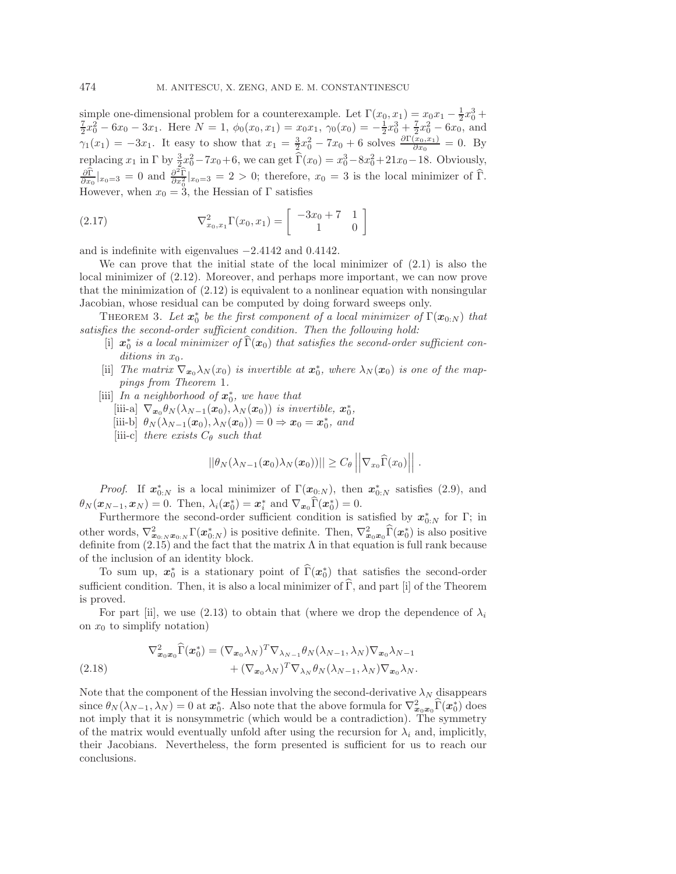simple one-dimensional problem for a counterexample. Let  $\Gamma(x_0, x_1) = x_0 x_1 - \frac{1}{2} x_0^3 +$  $\frac{7}{2}x_0^2 - 6x_0 - 3x_1$ . Here  $N = 1$ ,  $\phi_0(x_0, x_1) = x_0x_1$ ,  $\gamma_0(x_0) = -\frac{1}{2}x_0^3 + \frac{7}{2}x_0^2 - 6x_0$ , and  $\gamma_1(x_1) = -3x_1$ . It easy to show that  $x_1 = \frac{3}{2}x_0^2 - 7x_0 + 6$  solves  $\frac{\partial \Gamma(x_0, x_1)}{\partial x_0} = 0$ . By replacing  $x_1$  in  $\Gamma$  by  $\frac{3}{2}x_0^2 - 7x_0 + 6$ , we can get  $\widehat{\Gamma}(x_0) = x_0^3 - 8x_0^2 + 21x_0 - 18$ . Obviously, γ1 (<br>∵ep<br>∂Γ  $\gamma_1(x_1) = -3x_1$ . It easily<br>replacing  $x_1$  in  $\Gamma$  by  $\frac{3}{2}x_2$ <br> $\frac{\partial \widehat{\Gamma}}{\partial x_0}|_{x_0=3} = 0$  and  $\frac{\partial^2 \widehat{\Gamma}}{\partial x_0^2}$  $\frac{\partial^2 \Gamma}{\partial x_0^2}|_{x_0=3} = 2 > 0$ ; therefore,  $x_0 = 3$  is the local minimizer of  $\Gamma$ . However, when  $x_0 = 3$ , the Hessian of Γ satisfies

(2.17) 
$$
\nabla_{x_0, x_1}^2 \Gamma(x_0, x_1) = \begin{bmatrix} -3x_0 + 7 & 1 \\ 1 & 0 \end{bmatrix}
$$

and is indefinite with eigenvalues −2.4142 and 0.4142.

We can prove that the initial state of the local minimizer of (2.1) is also the local minimizer of (2.12). Moreover, and perhaps more important, we can now prove that the minimization of  $(2.12)$  is equivalent to a nonlinear equation with nonsingular Jacobian, whose residual can be computed by doing forward sweeps only.

THEOREM 3. Let  $x_0^*$  be the first component of a local minimizer of  $\Gamma(x_{0:N})$  that *satisfies the second-order sufficient condition. Then the following hold:*

- [i]  $x_0^*$  *is a local minimizer of*  $\Gamma(x_0)$  *that satisfies the second-order sufficient con* $ditions in x_0.$
- [ii] *The matrix*  $\nabla_{\bm{x}_0} \lambda_N(x_0)$  *is invertible at*  $\bm{x}_0^*$ *, where*  $\lambda_N(\bm{x}_0)$  *is one of the mappings from Theorem* 1*.*
- [iii] *In a neighborhood of*  $x_0^*$ *, we have that* 
	- [iii-a]  $\nabla_{\boldsymbol{x}_0} \theta_N(\lambda_{N-1}(\boldsymbol{x}_0), \lambda_N(\boldsymbol{x}_0))$  *is invertible,*  $\boldsymbol{x}_0^*$ ,
	- [iii-b]  $\theta_N(\lambda_{N-1}(\boldsymbol{x}_0), \lambda_N(\boldsymbol{x}_0)) = 0 \Rightarrow \boldsymbol{x}_0 = \boldsymbol{x}_0^*$ , and
	- $[iii-c]$  *there exists*  $C_{\theta}$  *such that*

$$
||\theta_N(\lambda_{N-1}(\boldsymbol{x}_0)\lambda_N(\boldsymbol{x}_0))|| \geq C_\theta \left|\left|\nabla_{x_0}\widehat{\Gamma}(x_0)\right|\right|.
$$

*Proof.* If  $x_{0:N}^*$  is a local minimizer of  $\Gamma(x_{0:N})$ , then  $x_{0:N}^*$  satisfies (2.9), and  $\theta_N(\mathbf{x}_{N-1}, \mathbf{x}_N) = 0.$  Then,  $\lambda_i(\mathbf{x}_0^*) = \mathbf{x}_i^*$  and  $\nabla_{\mathbf{x}_0} \Gamma(\mathbf{x}_0^*) = 0.$ 

Furthermore the second-order sufficient condition is satisfied by  $x^*_{0:N}$  for Γ; in other words,  $\nabla^2_{\mathbf{x}_0,\mathbf{y}_0,\mathbf{x}_0,N} \Gamma(\mathbf{x}_{0:N}^*)$  is positive definite. Then,  $\nabla^2_{\mathbf{x}_0,\mathbf{x}_0} \Gamma(\mathbf{x}_0^*)$  is also positive definite from  $(2.15)$  and the fact that the matrix  $\Lambda$  in that equation is full rank because of the inclusion of an identity block.

To sum up,  $x_0^*$  is a stationary point of  $\Gamma(x_0^*)$  that satisfies the second-order sufficient condition. Then, it is also a local minimizer of  $\Gamma$ , and part [i] of the Theorem is proved.

For part [ii], we use (2.13) to obtain that (where we drop the dependence of  $\lambda_i$ on  $x_0$  to simplify notation)

(2.18) 
$$
\nabla_{\boldsymbol{x}_0\boldsymbol{x}_0}^2 \widehat{\Gamma}(\boldsymbol{x}_0^*) = (\nabla_{\boldsymbol{x}_0} \lambda_N)^T \nabla_{\lambda_{N-1}} \theta_N(\lambda_{N-1}, \lambda_N) \nabla_{\boldsymbol{x}_0} \lambda_{N-1} + (\nabla_{\boldsymbol{x}_0} \lambda_N)^T \nabla_{\lambda_N} \theta_N(\lambda_{N-1}, \lambda_N) \nabla_{\boldsymbol{x}_0} \lambda_N.
$$

Note that the component of the Hessian involving the second-derivative  $\lambda_N$  disappears since  $\theta_N(\lambda_{N-1}, \lambda_N) = 0$  at  $\mathbf{x}_0^*$ . Also note that the above formula for  $\nabla^2_{\mathbf{x}_0, \mathbf{x}_0} \hat{\Gamma}(\mathbf{x}_0^*)$  does not imply that it is nonsymmetric (which would be a contradiction). The symmetry of the matrix would eventually unfold after using the recursion for  $\lambda_i$  and, implicitly, their Jacobians. Nevertheless, the form presented is sufficient for us to reach our conclusions.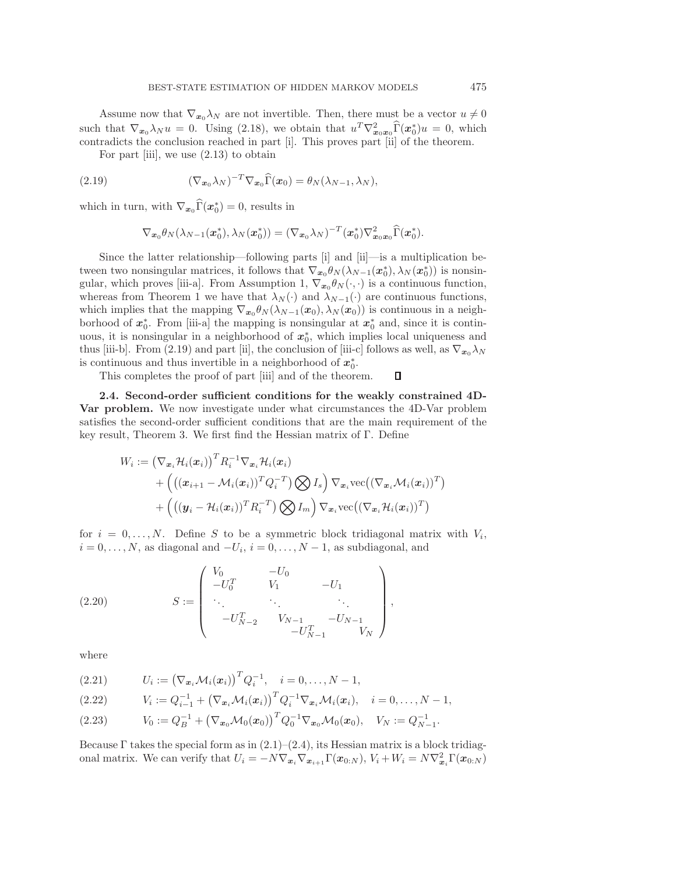Assume now that  $\nabla_{\boldsymbol{x}_0} \lambda_N$  are not invertible. Then, there must be a vector  $u \neq 0$ such that  $\nabla_{\mathbf{x}_0} \lambda_N u = 0$ . Using (2.18), we obtain that  $u^T \nabla^2_{\mathbf{x}_0, \mathbf{x}_0} \widehat{\Gamma}(\mathbf{x}_0^*) u = 0$ , which contradicts the conclusion reached in part [i]. This proves part [ii] of the theorem.

For part [iii], we use (2.13) to obtain

(2.19) 
$$
(\nabla_{\boldsymbol{x}_0} \lambda_N)^{-T} \nabla_{\boldsymbol{x}_0} \widehat{\Gamma}(\boldsymbol{x}_0) = \theta_N(\lambda_{N-1}, \lambda_N),
$$

which in turn, with  $\nabla_{\boldsymbol{x}_0} \Gamma(\boldsymbol{x}_0^*) = 0$ , results in

$$
\nabla_{\boldsymbol{x}_0} \theta_N(\lambda_{N-1}(\boldsymbol{x}_0^*), \lambda_N(\boldsymbol{x}_0^*)) = (\nabla_{\boldsymbol{x}_0} \lambda_N)^{-T} (\boldsymbol{x}_0^*) \nabla^2_{\boldsymbol{x}_0 \boldsymbol{x}_0} \widehat{\Gamma}(\boldsymbol{x}_0^*).
$$

Since the latter relationship—following parts [i] and [ii]—is a multiplication between two nonsingular matrices, it follows that  $\nabla_{x_0} \theta_N(\lambda_{N-1}(x_0^*), \lambda_N(x_0^*))$  is nonsingular, which proves [iii-a]. From Assumption 1,  $\nabla_{x_0} \theta_N(\cdot, \cdot)$  is a continuous function, whereas from Theorem 1 we have that  $\lambda_N(\cdot)$  and  $\lambda_{N-1}(\cdot)$  are continuous functions, which implies that the mapping  $\nabla_{\mathbf{x}_0} \theta_N(\lambda_{N-1}(\mathbf{x}_0), \lambda_N(\mathbf{x}_0))$  is continuous in a neighborhood of  $x_0^*$ . From [iii-a] the mapping is nonsingular at  $x_0^*$  and, since it is continuous, it is nonsingular in a neighborhood of *x*<sup>∗</sup> <sup>0</sup>, which implies local uniqueness and thus [iii-b]. From (2.19) and part [ii], the conclusion of [iii-c] follows as well, as  $\nabla_{\mathbf{x}_0} \lambda_N$ is continuous and thus invertible in a neighborhood of  $x_0^*$ .

This completes the proof of part [iii] and of the theorem.

**2.4. Second-order sufficient conditions for the weakly constrained 4D-Var problem.** We now investigate under what circumstances the 4D-Var problem satisfies the second-order sufficient conditions that are the main requirement of the key result, Theorem 3. We first find the Hessian matrix of Γ. Define

О

$$
W_i := (\nabla_{\boldsymbol{x}_i} \mathcal{H}_i(\boldsymbol{x}_i))^T R_i^{-1} \nabla_{\boldsymbol{x}_i} \mathcal{H}_i(\boldsymbol{x}_i) + \left( ((\boldsymbol{x}_{i+1} - \mathcal{M}_i(\boldsymbol{x}_i))^T Q_i^{-T}) \bigotimes I_s \right) \nabla_{\boldsymbol{x}_i} \text{vec}((\nabla_{\boldsymbol{x}_i} \mathcal{M}_i(\boldsymbol{x}_i))^T) + \left( ((\boldsymbol{y}_i - \mathcal{H}_i(\boldsymbol{x}_i))^T R_i^{-T}) \bigotimes I_m \right) \nabla_{\boldsymbol{x}_i} \text{vec}((\nabla_{\boldsymbol{x}_i} \mathcal{H}_i(\boldsymbol{x}_i))^T)
$$

for  $i = 0, \ldots, N$ . Define S to be a symmetric block tridiagonal matrix with  $V_i$ ,  $i = 0, \ldots, N$ , as diagonal and  $-U_i$ ,  $i = 0, \ldots, N - 1$ , as subdiagonal, and

(2.20) 
$$
S := \begin{pmatrix} V_0 & -U_0 & & \\ -U_0^T & V_1 & -U_1 & \\ \ddots & \ddots & \ddots & \\ -U_{N-2}^T & V_{N-1} & -U_{N-1} & \\ & & -U_{N-1}^T & V_N \end{pmatrix},
$$

where

(2.21) 
$$
U_i := (\nabla_{\bm{x}_i} \mathcal{M}_i(\bm{x}_i))^T Q_i^{-1}, \quad i = 0, ..., N-1,
$$

(2.22) 
$$
V_i := Q_{i-1}^{-1} + (\nabla_{\mathbf{x}_i} \mathcal{M}_i(\mathbf{x}_i))^T Q_i^{-1} \nabla_{\mathbf{x}_i} \mathcal{M}_i(\mathbf{x}_i), \quad i = 0, ..., N-1,
$$

$$
(2.23) \tV_0 := Q_B^{-1} + (\nabla_{\mathbf{x}_0} \mathcal{M}_0(\mathbf{x}_0))^T Q_0^{-1} \nabla_{\mathbf{x}_0} \mathcal{M}_0(\mathbf{x}_0), \quad V_N := Q_{N-1}^{-1}.
$$

Because  $\Gamma$  takes the special form as in  $(2.1)$ – $(2.4)$ , its Hessian matrix is a block tridiagonal matrix. We can verify that  $U_i = -N \nabla_{\mathbf{x}_i} \nabla_{\mathbf{x}_{i+1}} \Gamma(\mathbf{x}_{0:N}), V_i + W_i = N \nabla_{\mathbf{x}_i}^2 \Gamma(\mathbf{x}_{0:N})$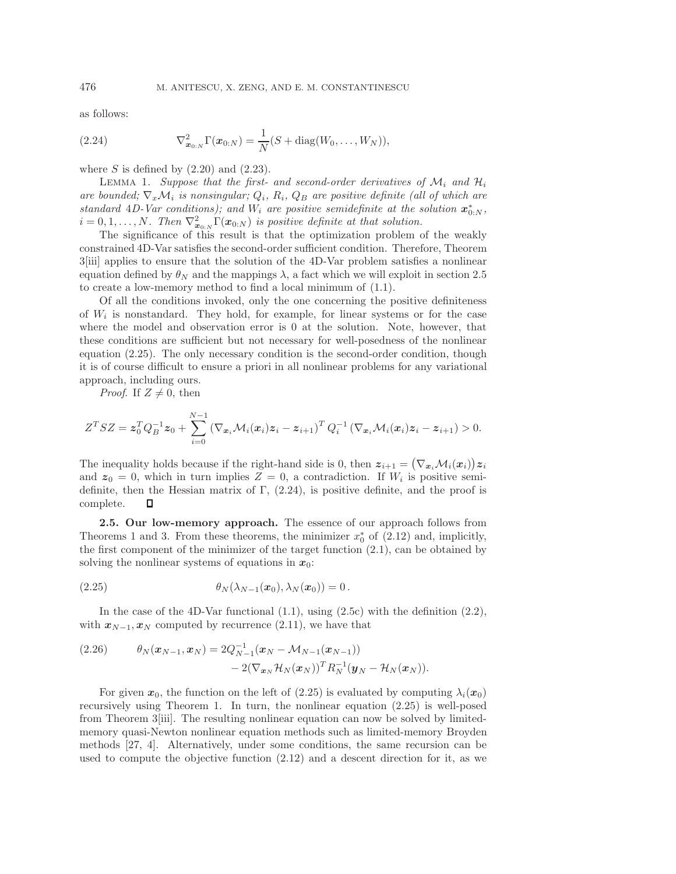as follows:

(2.24) 
$$
\nabla^2_{\bm{x}_{0:N}} \Gamma(\bm{x}_{0:N}) = \frac{1}{N}(S + \text{diag}(W_0, \dots, W_N)),
$$

where  $S$  is defined by  $(2.20)$  and  $(2.23)$ .

LEMMA 1. Suppose that the first- and second-order derivatives of  $\mathcal{M}_i$  and  $\mathcal{H}_i$ *are bounded;*  $\nabla_x \mathcal{M}_i$  *is nonsingular;*  $Q_i$ *, R<sub>i</sub>*,  $Q_B$  *are positive definite (all of which are standard* 4*D*-Var conditions); and  $W_i$  are positive semidefinite at the solution  $x^*_{0:N}$ ,  $i = 0, 1, \ldots, N$ . Then  $\nabla^2_{\mathbf{x}_{0:N}} \Gamma(\mathbf{x}_{0:N})$  *is positive definite at that solution.* 

The significance of this result is that the optimization problem of the weakly constrained 4D-Var satisfies the second-order sufficient condition. Therefore, Theorem 3[iii] applies to ensure that the solution of the 4D-Var problem satisfies a nonlinear equation defined by  $\theta_N$  and the mappings  $\lambda$ , a fact which we will exploit in section 2.5 to create a low-memory method to find a local minimum of (1.1).

Of all the conditions invoked, only the one concerning the positive definiteness of  $W_i$  is nonstandard. They hold, for example, for linear systems or for the case where the model and observation error is 0 at the solution. Note, however, that these conditions are sufficient but not necessary for well-posedness of the nonlinear equation (2.25). The only necessary condition is the second-order condition, though it is of course difficult to ensure a priori in all nonlinear problems for any variational approach, including ours.

*Proof.* If  $Z \neq 0$ , then

$$
Z^T S Z = \boldsymbol{z}_0^T Q_B^{-1} \boldsymbol{z}_0 + \sum_{i=0}^{N-1} \left( \nabla_{\boldsymbol{x}_i} \mathcal{M}_i(\boldsymbol{x}_i) \boldsymbol{z}_i - \boldsymbol{z}_{i+1} \right)^T Q_i^{-1} \left( \nabla_{\boldsymbol{x}_i} \mathcal{M}_i(\boldsymbol{x}_i) \boldsymbol{z}_i - \boldsymbol{z}_{i+1} \right) > 0.
$$

The inequality holds because if the right-hand side is 0, then  $z_{i+1} = (\nabla_{x_i} \mathcal{M}_i(x_i)) z_i$ and  $z_0 = 0$ , which in turn implies  $Z = 0$ , a contradiction. If  $W_i$  is positive semidefinite, then the Hessian matrix of  $\Gamma$ , (2.24), is positive definite, and the proof is complete. 0

**2.5. Our low-memory approach.** The essence of our approach follows from Theorems 1 and 3. From these theorems, the minimizer  $x_0^*$  of (2.12) and, implicitly, the first component of the minimizer of the target function (2.1), can be obtained by solving the nonlinear systems of equations in  $x_0$ :

(2.25) 
$$
\theta_N(\lambda_{N-1}(x_0), \lambda_N(x_0)) = 0.
$$

In the case of the 4D-Var functional  $(1.1)$ , using  $(2.5c)$  with the definition  $(2.2)$ , with  $x_{N-1}, x_N$  computed by recurrence (2.11), we have that

(2.26) 
$$
\theta_N(\boldsymbol{x}_{N-1}, \boldsymbol{x}_N) = 2Q_{N-1}^{-1}(\boldsymbol{x}_N - \mathcal{M}_{N-1}(\boldsymbol{x}_{N-1})) - 2(\nabla_{\boldsymbol{x}_N} \mathcal{H}_N(\boldsymbol{x}_N))^T R_N^{-1}(\boldsymbol{y}_N - \mathcal{H}_N(\boldsymbol{x}_N)).
$$

For given  $x_0$ , the function on the left of (2.25) is evaluated by computing  $\lambda_i(x_0)$ recursively using Theorem 1. In turn, the nonlinear equation (2.25) is well-posed from Theorem 3[iii]. The resulting nonlinear equation can now be solved by limitedmemory quasi-Newton nonlinear equation methods such as limited-memory Broyden methods [27, 4]. Alternatively, under some conditions, the same recursion can be used to compute the objective function (2.12) and a descent direction for it, as we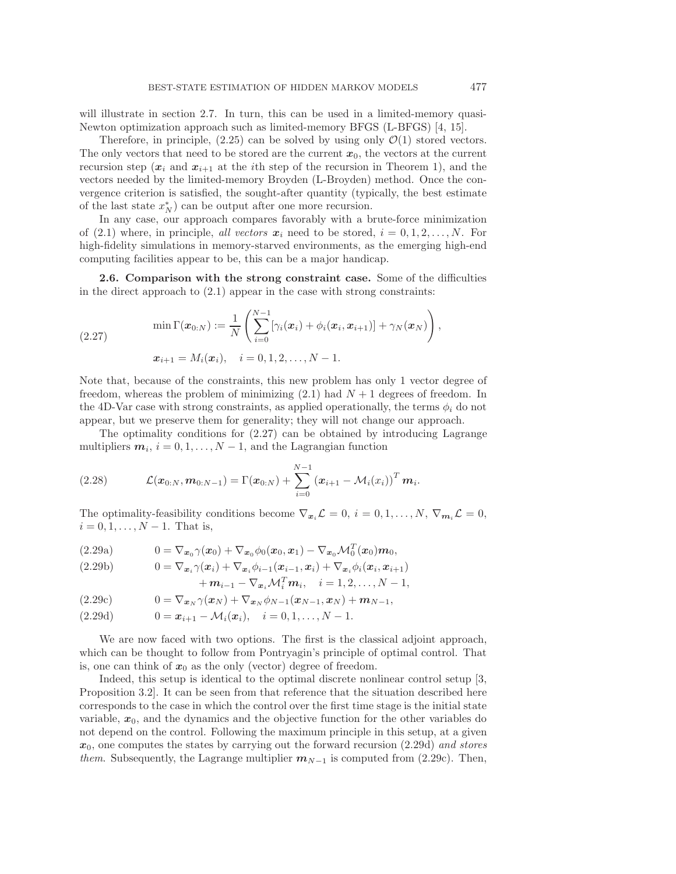will illustrate in section 2.7. In turn, this can be used in a limited-memory quasi-Newton optimization approach such as limited-memory BFGS (L-BFGS) [4, 15].

Therefore, in principle,  $(2.25)$  can be solved by using only  $\mathcal{O}(1)$  stored vectors. The only vectors that need to be stored are the current  $x_0$ , the vectors at the current recursion step  $(x_i$  and  $x_{i+1}$  at the *i*th step of the recursion in Theorem 1), and the vectors needed by the limited-memory Broyden (L-Broyden) method. Once the convergence criterion is satisfied, the sought-after quantity (typically, the best estimate of the last state  $x_N^*$  can be output after one more recursion.

In any case, our approach compares favorably with a brute-force minimization of  $(2.1)$  where, in principle, *all vectors*  $x_i$  need to be stored,  $i = 0, 1, 2, \ldots, N$ . For high-fidelity simulations in memory-starved environments, as the emerging high-end computing facilities appear to be, this can be a major handicap.

**2.6. Comparison with the strong constraint case.** Some of the difficulties in the direct approach to  $(2.1)$  appear in the case with strong constraints:

(2.27) 
$$
\min \Gamma(\boldsymbol{x}_{0:N}) := \frac{1}{N} \left( \sum_{i=0}^{N-1} [\gamma_i(\boldsymbol{x}_i) + \phi_i(\boldsymbol{x}_i, \boldsymbol{x}_{i+1})] + \gamma_N(\boldsymbol{x}_N) \right),
$$

$$
\boldsymbol{x}_{i+1} = M_i(\boldsymbol{x}_i), \quad i = 0, 1, 2, ..., N-1.
$$

Note that, because of the constraints, this new problem has only 1 vector degree of freedom, whereas the problem of minimizing  $(2.1)$  had  $N + 1$  degrees of freedom. In the 4D-Var case with strong constraints, as applied operationally, the terms  $\phi_i$  do not appear, but we preserve them for generality; they will not change our approach.

The optimality conditions for  $(2.27)$  can be obtained by introducing Lagrange multipliers  $m_i$ ,  $i = 0, 1, ..., N - 1$ , and the Lagrangian function

(2.28) 
$$
\mathcal{L}(\boldsymbol{x}_{0:N}, \boldsymbol{m}_{0:N-1}) = \Gamma(\boldsymbol{x}_{0:N}) + \sum_{i=0}^{N-1} (\boldsymbol{x}_{i+1} - \mathcal{M}_i(x_i))^T \boldsymbol{m}_i.
$$

The optimality-feasibility conditions become  $\nabla_{\mathbf{x}_i} \mathcal{L} = 0, i = 0, 1, \ldots, N, \nabla_{\mathbf{m}_i} \mathcal{L} = 0$ ,  $i = 0, 1, \ldots, N - 1$ . That is,

(2.29a) 
$$
0 = \nabla_{\boldsymbol{x}_0} \gamma(\boldsymbol{x}_0) + \nabla_{\boldsymbol{x}_0} \phi_0(\boldsymbol{x}_0, \boldsymbol{x}_1) - \nabla_{\boldsymbol{x}_0} \mathcal{M}_0^T(\boldsymbol{x}_0) \boldsymbol{m}_0,
$$

(2.29b) 
$$
0 = \nabla_{\boldsymbol{x}_i} \gamma(\boldsymbol{x}_i) + \nabla_{\boldsymbol{x}_i} \phi_{i-1}(\boldsymbol{x}_{i-1}, \boldsymbol{x}_i) + \nabla_{\boldsymbol{x}_i} \phi_i(\boldsymbol{x}_i, \boldsymbol{x}_{i+1}) + \boldsymbol{m}_{i-1} - \nabla_{\boldsymbol{x}_i} \mathcal{M}_i^T \boldsymbol{m}_i, \quad i = 1, 2, ..., N - 1,
$$

(2.29c) 
$$
0 = \nabla_{x} \gamma(x_N) + \nabla_{x_N} \phi_{N-1}(x_{N-1}, x_N) + m_{N-1},
$$

$$
\begin{array}{ccccccccc}\n\text{(2.200)} & & & & & & & \\
\text{(2.201)} & & & & & & \\
\text{(2.2021)} & & & & & & \\
\text{(2.2031)} & & & & & & \\
\text{(2.2041)} & & & & & & \\
\text{(2.2051)} & & & & & & \\
\text{(2.2061)} & & & & & & \\
\text{(2.2071)} & & & & & & \\
\text{(2.2081)} & & & & & & \\
\text{(2.2091)} & & & & & & \\
\text{(2.2091)} & & & & & & \\
\text{(2.2091)} & & & & & & \\
\text{(2.2091)} & & & & & & \\
\text{(2.2091)} & & & & & & \\
\text{(2.2091)} & & & & & & \\
\text{(2.2091)} & & & & & & \\
\text{(2.2091)} & & & & & & \\
\text{(2.2091)} & & & & & & \\
\text{(2.2091)} & & & & & & \\
\text{(2.2091)} & & & & & & \\
\text{(2.2091)} & & & & & & \\
\text{(2.2091)} & & & & & & \\
\text{(2.2091)} & & & & & & \\
\text{(2.2091)} & & & & & & \\
\text{(2.2091)} & & & & & & \\
\text{(2.2091)} & & & & &
$$

$$
(2.29d) \t 0 = x_{i+1} - \mathcal{M}_i(x_i), \t i = 0, 1, ..., N - 1.
$$

We are now faced with two options. The first is the classical adjoint approach, which can be thought to follow from Pontryagin's principle of optimal control. That is, one can think of  $x_0$  as the only (vector) degree of freedom.

Indeed, this setup is identical to the optimal discrete nonlinear control setup [3, Proposition 3.2]. It can be seen from that reference that the situation described here corresponds to the case in which the control over the first time stage is the initial state variable,  $x_0$ , and the dynamics and the objective function for the other variables do not depend on the control. Following the maximum principle in this setup, at a given *x*0, one computes the states by carrying out the forward recursion (2.29d) *and stores them*. Subsequently, the Lagrange multiplier  $m_{N-1}$  is computed from (2.29c). Then,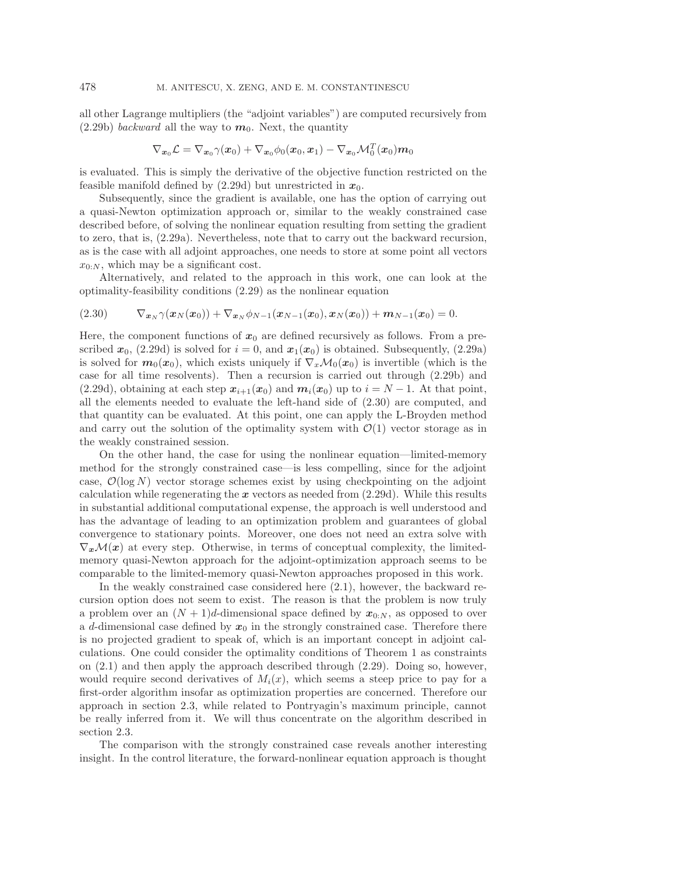all other Lagrange multipliers (the "adjoint variables") are computed recursively from  $(2.29b)$  *backward* all the way to  $m_0$ . Next, the quantity

$$
\nabla_{\boldsymbol{x}_0}\mathcal{L}=\nabla_{\boldsymbol{x}_0}\gamma(\boldsymbol{x}_0)+\nabla_{\boldsymbol{x}_0}\phi_0(\boldsymbol{x}_0,\boldsymbol{x}_1)-\nabla_{\boldsymbol{x}_0}\mathcal{M}_0^T(\boldsymbol{x}_0)\boldsymbol{m}_0
$$

is evaluated. This is simply the derivative of the objective function restricted on the feasible manifold defined by  $(2.29d)$  but unrestricted in  $x_0$ .

Subsequently, since the gradient is available, one has the option of carrying out a quasi-Newton optimization approach or, similar to the weakly constrained case described before, of solving the nonlinear equation resulting from setting the gradient to zero, that is, (2.29a). Nevertheless, note that to carry out the backward recursion, as is the case with all adjoint approaches, one needs to store at some point all vectors  $x_{0:N}$ , which may be a significant cost.

Alternatively, and related to the approach in this work, one can look at the optimality-feasibility conditions (2.29) as the nonlinear equation

$$
(2.30) \t\nabla_{\boldsymbol{x}_N} \gamma(\boldsymbol{x}_N(\boldsymbol{x}_0)) + \nabla_{\boldsymbol{x}_N} \phi_{N-1}(\boldsymbol{x}_{N-1}(\boldsymbol{x}_0), \boldsymbol{x}_N(\boldsymbol{x}_0)) + \boldsymbol{m}_{N-1}(\boldsymbol{x}_0) = 0.
$$

Here, the component functions of  $x_0$  are defined recursively as follows. From a prescribed  $x_0$ , (2.29d) is solved for  $i = 0$ , and  $x_1(x_0)$  is obtained. Subsequently, (2.29a) is solved for  $m_0(x_0)$ , which exists uniquely if  $\nabla_x \mathcal{M}_0(x_0)$  is invertible (which is the case for all time resolvents). Then a recursion is carried out through (2.29b) and (2.29d), obtaining at each step  $x_{i+1}(x_0)$  and  $m_i(x_0)$  up to  $i = N - 1$ . At that point, all the elements needed to evaluate the left-hand side of (2.30) are computed, and that quantity can be evaluated. At this point, one can apply the L-Broyden method and carry out the solution of the optimality system with  $\mathcal{O}(1)$  vector storage as in the weakly constrained session.

On the other hand, the case for using the nonlinear equation—limited-memory method for the strongly constrained case—is less compelling, since for the adjoint case,  $\mathcal{O}(\log N)$  vector storage schemes exist by using checkpointing on the adjoint calculation while regenerating the *x* vectors as needed from (2.29d). While this results in substantial additional computational expense, the approach is well understood and has the advantage of leading to an optimization problem and guarantees of global convergence to stationary points. Moreover, one does not need an extra solve with  $\nabla_x \mathcal{M}(x)$  at every step. Otherwise, in terms of conceptual complexity, the limitedmemory quasi-Newton approach for the adjoint-optimization approach seems to be comparable to the limited-memory quasi-Newton approaches proposed in this work.

In the weakly constrained case considered here (2.1), however, the backward recursion option does not seem to exist. The reason is that the problem is now truly a problem over an  $(N + 1)d$ -dimensional space defined by  $x_{0:N}$ , as opposed to over a d-dimensional case defined by  $x_0$  in the strongly constrained case. Therefore there is no projected gradient to speak of, which is an important concept in adjoint calculations. One could consider the optimality conditions of Theorem 1 as constraints on (2.1) and then apply the approach described through (2.29). Doing so, however, would require second derivatives of  $M_i(x)$ , which seems a steep price to pay for a first-order algorithm insofar as optimization properties are concerned. Therefore our approach in section 2.3, while related to Pontryagin's maximum principle, cannot be really inferred from it. We will thus concentrate on the algorithm described in section 2.3.

The comparison with the strongly constrained case reveals another interesting insight. In the control literature, the forward-nonlinear equation approach is thought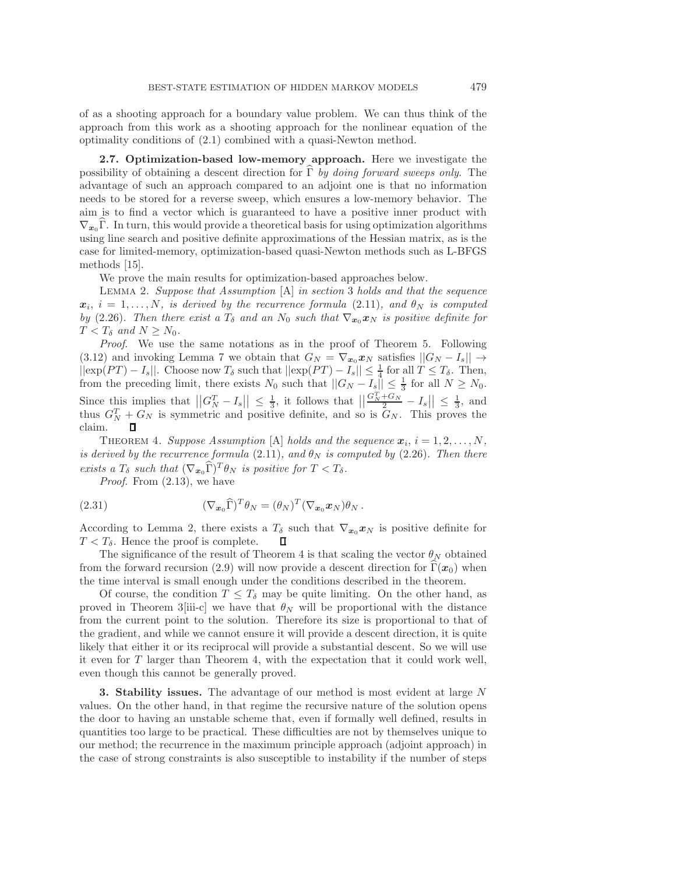of as a shooting approach for a boundary value problem. We can thus think of the approach from this work as a shooting approach for the nonlinear equation of the optimality conditions of (2.1) combined with a quasi-Newton method.

**2.7. Optimization-based low-memory approach.** Here we investigate the possibility of obtaining a descent direction for <sup>Γ</sup> *by doing forward sweeps only*. The advantage of such an approach compared to an adjoint one is that no information needs to be stored for a reverse sweep, which ensures a low-memory behavior. The aim is to find a vector which is guaranteed to have a positive inner product with  $\nabla_{x_0} \hat{\Gamma}$ . In turn, this would provide a theoretical basis for using optimization algorithms using line search and positive definite approximations of the Hessian matrix, as is the case for limited-memory, optimization-based quasi-Newton methods such as L-BFGS methods [15].

We prove the main results for optimization-based approaches below.

Lemma 2. *Suppose that Assumption* [A] *in section* 3 *holds and that the sequence*  $x_i$ ,  $i = 1, \ldots, N$ *, is derived by the recurrence formula* (2.11)*, and*  $\theta_N$  *is computed by* (2.26). Then there exist a  $T_{\delta}$  and an  $N_0$  such that  $\nabla_{\mathbf{x}_0} \mathbf{x}_N$  is positive definite for  $T < T_{\delta}$  and  $N \geq N_0$ .

*Proof*. We use the same notations as in the proof of Theorem 5. Following (3.12) and invoking Lemma 7 we obtain that  $G_N = \nabla_{\mathbf{x}_0} \mathbf{x}_N$  satisfies  $||G_N - I_s|| \to$  $||exp(PT) - I_s||$ . Choose now  $T_\delta$  such that  $||exp(PT) - I_s|| \leq \frac{1}{4}$  for all  $T \leq T_\delta$ . Then, from the preceding limit, there exists  $N_0$  such that  $||G_N - I_s|| \leq \frac{1}{3}$  for all  $N \geq N_0$ .  $\frac{G_N^T + G_N}{2} - I_s \Big| \Big| \leq \frac{1}{3}$ , and Since this implies that  $||G_N^T - I_s|| \leq \frac{1}{3}$ , it follows that  $||$ thus  $G_N^T + G_N$  is symmetric and positive definite, and so is  $G_N$ . This proves the  $\mathbf \Pi$ claim.

THEOREM 4. *Suppose Assumption* [A] *holds and the sequence*  $\boldsymbol{x}_i$ ,  $i = 1, 2, \ldots, N$ , *is derived by the recurrence formula* (2.11)*, and*  $\theta_N$  *is computed by* (2.26)*. Then there exists a*  $T_{\delta}$  *such that*  $(\nabla_{\boldsymbol{x}_0} \widehat{\Gamma})^T \theta_N$  *is positive for*  $T < T_{\delta}$ *.* 

*Proof*. From (2.13), we have

(2.31) 
$$
(\nabla_{\boldsymbol{x}_0} \widehat{\boldsymbol{\Gamma}})^T \theta_N = (\theta_N)^T (\nabla_{\boldsymbol{x}_0} \boldsymbol{x}_N) \theta_N.
$$

According to Lemma 2, there exists a  $T_{\delta}$  such that  $\nabla_{\mathbf{x}_0} \mathbf{x}_N$  is positive definite for  $T < T_{\delta}$ . Hence the proof is complete.

The significance of the result of Theorem 4 is that scaling the vector  $\theta_N$  obtained from the forward recursion (2.9) will now provide a descent direction for  $\Gamma(x_0)$  when the time interval is small enough under the conditions described in the theorem.

Of course, the condition  $T \leq T_{\delta}$  may be quite limiting. On the other hand, as proved in Theorem 3[iii-c] we have that  $\theta_N$  will be proportional with the distance from the current point to the solution. Therefore its size is proportional to that of the gradient, and while we cannot ensure it will provide a descent direction, it is quite likely that either it or its reciprocal will provide a substantial descent. So we will use it even for T larger than Theorem 4, with the expectation that it could work well, even though this cannot be generally proved.

**3. Stability issues.** The advantage of our method is most evident at large N values. On the other hand, in that regime the recursive nature of the solution opens the door to having an unstable scheme that, even if formally well defined, results in quantities too large to be practical. These difficulties are not by themselves unique to our method; the recurrence in the maximum principle approach (adjoint approach) in the case of strong constraints is also susceptible to instability if the number of steps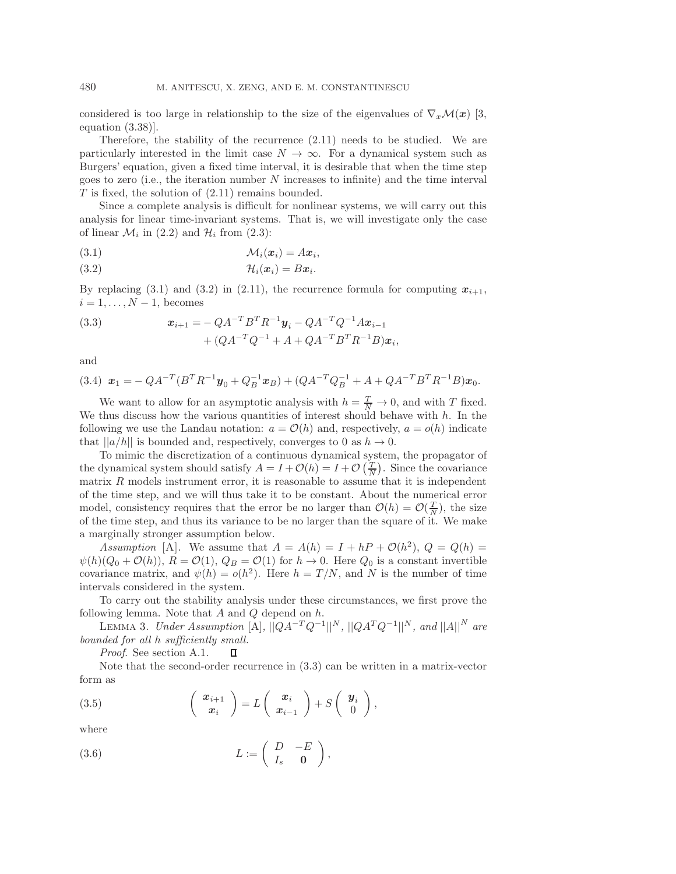considered is too large in relationship to the size of the eigenvalues of  $\nabla_x\mathcal{M}(x)$  [3, equation (3.38)].

Therefore, the stability of the recurrence  $(2.11)$  needs to be studied. We are particularly interested in the limit case  $N \to \infty$ . For a dynamical system such as Burgers' equation, given a fixed time interval, it is desirable that when the time step goes to zero (i.e., the iteration number  $N$  increases to infinite) and the time interval  $T$  is fixed, the solution of  $(2.11)$  remains bounded.

Since a complete analysis is difficult for nonlinear systems, we will carry out this analysis for linear time-invariant systems. That is, we will investigate only the case of linear  $\mathcal{M}_i$  in (2.2) and  $\mathcal{H}_i$  from (2.3):

Mi(*x*i) = A*x*<sup>i</sup> (3.1) ,

$$
(3.2) \t\t\t\t\t\mathcal{H}_i(\boldsymbol{x}_i) = B\boldsymbol{x}_i.
$$

By replacing (3.1) and (3.2) in (2.11), the recurrence formula for computing  $x_{i+1}$ ,  $i = 1, \ldots, N-1$ , becomes

(3.3) 
$$
\mathbf{x}_{i+1} = -QA^{-T}B^{T}R^{-1}\mathbf{y}_{i} - QA^{-T}Q^{-1}A\mathbf{x}_{i-1} + (QA^{-T}Q^{-1} + A + QA^{-T}B^{T}R^{-1}B)\mathbf{x}_{i},
$$

and

$$
(3.4) \ \ \mathbf{x}_1 = -QA^{-T}(B^T R^{-1} \mathbf{y}_0 + Q_B^{-1} \mathbf{x}_B) + (QA^{-T} Q_B^{-1} + A + QA^{-T} B^T R^{-1} B) \mathbf{x}_0.
$$

We want to allow for an asymptotic analysis with  $h = \frac{T}{N} \to 0$ , and with T fixed. We thus discuss how the various quantities of interest should behave with  $h$ . In the following we use the Landau notation:  $a = \mathcal{O}(h)$  and, respectively,  $a = o(h)$  indicate that  $||a/h||$  is bounded and, respectively, converges to 0 as  $h \to 0$ .

To mimic the discretization of a continuous dynamical system, the propagator of the dynamical system should satisfy  $A = I + \mathcal{O}(h) = I + \mathcal{O}(\frac{r}{N})$ . Since the covariance matrix  $R$  models instrument error, it is reasonable to assume that it is independent of the time step, and we will thus take it to be constant. About the numerical error model, consistency requires that the error be no larger than  $\mathcal{O}(h) = \mathcal{O}(\frac{T}{N})$ , the size of the time step, and thus its variance to be no larger than the square of it. We make a marginally stronger assumption below.

*Assumption* [A]. We assume that  $A = A(h) = I + hP + \mathcal{O}(h^2)$ ,  $Q = Q(h)$  $\psi(h)(Q_0 + \mathcal{O}(h)), R = \mathcal{O}(1), Q_B = \mathcal{O}(1)$  for  $h \to 0$ . Here  $Q_0$  is a constant invertible covariance matrix, and  $\psi(h) = o(h^2)$ . Here  $h = T/N$ , and N is the number of time intervals considered in the system.

To carry out the stability analysis under these circumstances, we first prove the following lemma. Note that  $A$  and  $Q$  depend on  $h$ .

*LEMMA 3. Under Assumption* [A]*,*  $||QA^{-T}Q^{-1}||^N$ *,*  $||QA^TQ^{-1}||^N$ *, and*  $||A||^N$  are *bounded for all* h *sufficiently small.*

*Proof*. See section A.1. п

Note that the second-order recurrence in (3.3) can be written in a matrix-vector form as

(3.5) 
$$
\begin{pmatrix} x_{i+1} \\ x_i \end{pmatrix} = L \begin{pmatrix} x_i \\ x_{i-1} \end{pmatrix} + S \begin{pmatrix} y_i \\ 0 \end{pmatrix},
$$

where

$$
(3.6) \t\t\t L := \begin{pmatrix} D & -E \\ I_s & \mathbf{0} \end{pmatrix},
$$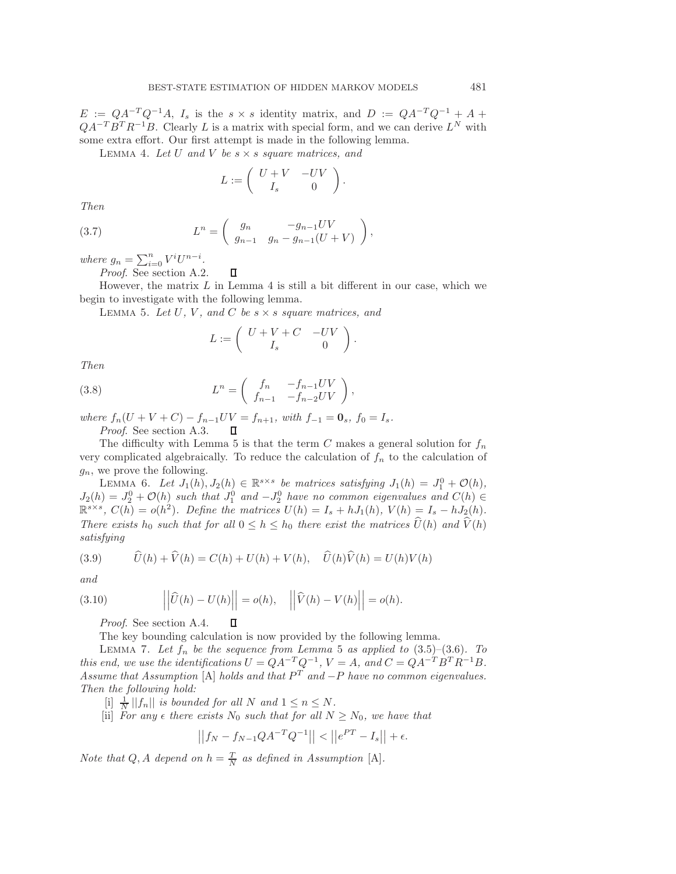$E := QA^{-T}Q^{-1}A$ ,  $I_s$  is the  $s \times s$  identity matrix, and  $D := QA^{-T}Q^{-1} + A +$  $QA^{-T}B^{T}R^{-1}B$ . Clearly L is a matrix with special form, and we can derive  $L^{N}$  with some extra effort. Our first attempt is made in the following lemma.

Lemma 4. *Let* U *and* V *be* s × s *square matrices, and*

$$
L := \left( \begin{array}{cc} U + V & -UV \\ I_s & 0 \end{array} \right).
$$

*Then*

(3.7) 
$$
L^{n} = \begin{pmatrix} g_{n} & -g_{n-1}UV \\ g_{n-1} & g_{n} - g_{n-1}(U+V) \end{pmatrix},
$$

 $\Box$ 

*where*  $g_n = \sum_{i=0}^n V^i U^{n-i}$ *.* 

*Proof*. See section A.2.

However, the matrix  $L$  in Lemma 4 is still a bit different in our case, which we begin to investigate with the following lemma.

LEMMA 5. Let  $U, V,$  and  $C$  be  $s \times s$  square matrices, and

$$
L := \left( \begin{array}{cc} U + V + C & -UV \\ I_s & 0 \end{array} \right).
$$

*Then*

(3.8) 
$$
L^{n} = \begin{pmatrix} f_{n} & -f_{n-1}UV \\ f_{n-1} & -f_{n-2}UV \end{pmatrix},
$$

*where*  $f_n(U + V + C) - f_{n-1}UV = f_{n+1}$ , with  $f_{-1} = \mathbf{0}_s$ ,  $f_0 = I_s$ . *Proof*. See section A.3.

The difficulty with Lemma 5 is that the term  $C$  makes a general solution for  $f_n$ very complicated algebraically. To reduce the calculation of  $f_n$  to the calculation of  $g_n$ , we prove the following.

LEMMA 6. Let  $J_1(h)$ ,  $J_2(h) \in \mathbb{R}^{s \times s}$  be matrices satisfying  $J_1(h) = J_1^0 + \mathcal{O}(h)$ ,  $J_2(h) = J_2^0 + \mathcal{O}(h)$  such that  $J_1^0$  and  $-J_2^0$  have no common eigenvalues and  $C(h) \in$  $\mathbb{R}^{s \times s}$ ,  $C(h) = o(h^2)$ *. Define the matrices*  $U(h) = I_s + hJ_1(h)$ ,  $V(h) = I_s - hJ_2(h)$ *. There exists*  $h_0$  *such that for all*  $0 \leq h \leq h_0$  *there exist the matrices*  $\hat{U}(h)$  *and*  $\hat{V}(h)$ *satisfying*

(3.9) 
$$
\widehat{U}(h) + \widehat{V}(h) = C(h) + U(h) + V(h), \quad \widehat{U}(h)\widehat{V}(h) = U(h)V(h)
$$

*and*

(3.10) 
$$
\left| \left| \widehat{U}(h) - U(h) \right| \right| = o(h), \quad \left| \left| \widehat{V}(h) - V(h) \right| \right| = o(h).
$$

*Proof*. See section A.4.  $\Box$ 

The key bounding calculation is now provided by the following lemma.

LEMMA 7. Let  $f_n$  be the sequence from Lemma 5 as applied to  $(3.5)$ – $(3.6)$ . To *this end, we use the identifications*  $U = QA^{-T}Q^{-1}$ ,  $V = A$ , and  $C = QA^{-T}B^{T}R^{-1}B$ . *Assume that Assumption* [A] *holds and that*  $P^T$  *and* −P *have no common eigenvalues. Then the following hold:*

 $[i]$   $\frac{1}{N}$  ||f<sub>n</sub>|| *is bounded for all* N *and*  $1 \le n \le N$ *.* 

[ii] *For any*  $\epsilon$  *there exists*  $N_0$  *such that for all*  $N \geq N_0$ *, we have that* 

$$
||f_N - f_{N-1}QA^{-T}Q^{-1}|| < ||e^{PT} - I_s|| + \epsilon.
$$

*Note that*  $Q$ ,  $A$  *depend on*  $h = \frac{T}{N}$  *as defined in Assumption* [A]*.*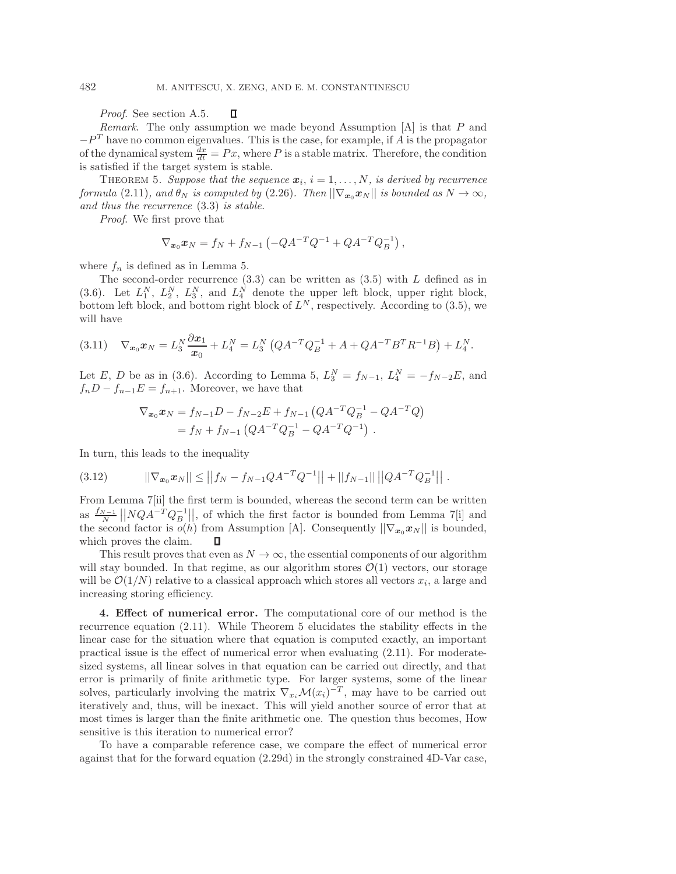*Proof*. See section A.5.  $\Box$ 

*Remark*. The only assumption we made beyond Assumption [A] is that P and  $-P<sup>T</sup>$  have no common eigenvalues. This is the case, for example, if A is the propagator of the dynamical system  $\frac{dx}{dt} = Px$ , where P is a stable matrix. Therefore, the condition is satisfied if the target system is stable.

THEOREM 5. Suppose that the sequence  $\mathbf{x}_i$ ,  $i = 1, \ldots, N$ , is derived by recurrence *formula* (2.11)*, and*  $\theta_N$  *is computed by* (2.26)*. Then*  $||\nabla_{\mathbf{x}_0} \mathbf{x}_N||$  *is bounded as*  $N \to \infty$ *, and thus the recurrence* (3.3) *is stable.*

*Proof*. We first prove that

$$
\nabla_{\boldsymbol{x}_0} \boldsymbol{x}_N = f_N + f_{N-1} \left( -Q A^{-T} Q^{-1} + Q A^{-T} Q_B^{-1} \right),
$$

where  $f_n$  is defined as in Lemma 5.

The second-order recurrence  $(3.3)$  can be written as  $(3.5)$  with L defined as in (3.6). Let  $L_1^N$ ,  $L_2^N$ ,  $L_3^N$ , and  $L_4^N$  denote the upper left block, upper right block, bottom left block, and bottom right block of  $L^N$ , respectively. According to (3.5), we will have

$$
(3.11) \quad \nabla_{\mathbf{x}_0} \mathbf{x}_N = L_3^N \frac{\partial \mathbf{x}_1}{\mathbf{x}_0} + L_4^N = L_3^N \left( Q A^{-T} Q_B^{-1} + A + Q A^{-T} B^T R^{-1} B \right) + L_4^N.
$$

Let E, D be as in (3.6). According to Lemma 5,  $L_3^N = f_{N-1}$ ,  $L_4^N = -f_{N-2}E$ , and  $f_nD - f_{n-1}E = f_{n+1}$ . Moreover, we have that

$$
\nabla_{\boldsymbol{x}_0} \boldsymbol{x}_N = f_{N-1} D - f_{N-2} E + f_{N-1} \left( Q A^{-T} Q_B^{-1} - Q A^{-T} Q \right) \n= f_N + f_{N-1} \left( Q A^{-T} Q_B^{-1} - Q A^{-T} Q^{-1} \right).
$$

In turn, this leads to the inequality

$$
(3.12) \t ||\nabla_{\boldsymbol{x}_0} \boldsymbol{x}_N|| \le ||f_N - f_{N-1} Q A^{-T} Q^{-1}|| + ||f_{N-1}|| ||Q A^{-T} Q_B^{-1}||.
$$

From Lemma 7[ii] the first term is bounded, whereas the second term can be written as  $\frac{f_{N-1}}{N}$  ||NQA<sup>-T</sup>Q<sub>B</sub><sup>-1</sup>||, of which the first factor is bounded from Lemma 7[i] and the second factor is  $o(h)$  from Assumption [A]. Consequently  $||\nabla_{\mathbf{x}_0} \mathbf{x}_N||$  is bounded, which proves the claim. Д

This result proves that even as  $N \to \infty$ , the essential components of our algorithm will stay bounded. In that regime, as our algorithm stores  $\mathcal{O}(1)$  vectors, our storage will be  $\mathcal{O}(1/N)$  relative to a classical approach which stores all vectors  $x_i$ , a large and increasing storing efficiency.

**4. Effect of numerical error.** The computational core of our method is the recurrence equation (2.11). While Theorem 5 elucidates the stability effects in the linear case for the situation where that equation is computed exactly, an important practical issue is the effect of numerical error when evaluating (2.11). For moderatesized systems, all linear solves in that equation can be carried out directly, and that error is primarily of finite arithmetic type. For larger systems, some of the linear solves, particularly involving the matrix  $\nabla_{x_i} \mathcal{M}(x_i)^{-T}$ , may have to be carried out iteratively and, thus, will be inexact. This will yield another source of error that at most times is larger than the finite arithmetic one. The question thus becomes, How sensitive is this iteration to numerical error?

To have a comparable reference case, we compare the effect of numerical error against that for the forward equation (2.29d) in the strongly constrained 4D-Var case,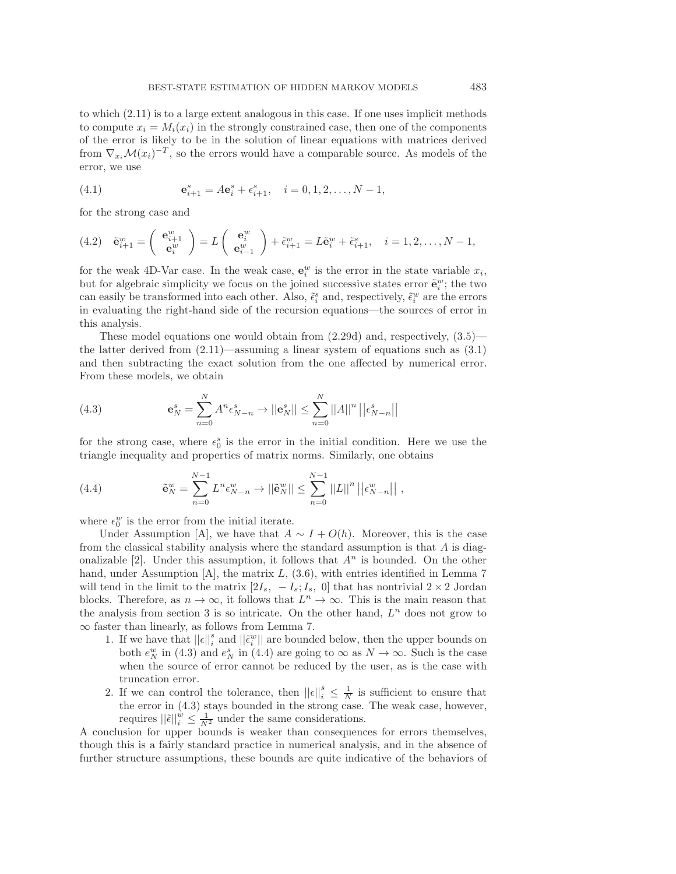to which (2.11) is to a large extent analogous in this case. If one uses implicit methods to compute  $x_i = M_i(x_i)$  in the strongly constrained case, then one of the components of the error is likely to be in the solution of linear equations with matrices derived from  $\nabla_{x_i} \mathcal{M}(x_i)^{-T}$ , so the errors would have a comparable source. As models of the error, we use

(4.1) 
$$
\mathbf{e}_{i+1}^s = A\mathbf{e}_i^s + \epsilon_{i+1}^s, \quad i = 0, 1, 2, \dots, N-1,
$$

for the strong case and

$$
(4.2) \quad \tilde{\mathbf{e}}_{i+1}^w = \begin{pmatrix} \mathbf{e}_{i+1}^w \\ \mathbf{e}_i^w \end{pmatrix} = L \begin{pmatrix} \mathbf{e}_i^w \\ \mathbf{e}_{i-1}^w \end{pmatrix} + \tilde{\epsilon}_{i+1}^w = L\tilde{\mathbf{e}}_i^w + \tilde{\epsilon}_{i+1}^s, \quad i = 1, 2, \dots, N-1,
$$

for the weak 4D-Var case. In the weak case,  $e_i^w$  is the error in the state variable  $x_i$ , but for algebraic simplicity we focus on the joined successive states error  $\tilde{\mathbf{e}}_i^w$ ; the two can easily be transformed into each other. Also,  $\tilde{\epsilon}_i^s$  and, respectively,  $\tilde{\epsilon}_i^w$  are the errors in evaluating the right-hand side of the recursion equations—the sources of error in this analysis.

These model equations one would obtain from  $(2.29d)$  and, respectively,  $(3.5)$  the latter derived from  $(2.11)$ —assuming a linear system of equations such as  $(3.1)$ and then subtracting the exact solution from the one affected by numerical error. From these models, we obtain

(4.3) 
$$
\mathbf{e}_N^s = \sum_{n=0}^N A^n \epsilon_{N-n}^s \to ||\mathbf{e}_N^s|| \le \sum_{n=0}^N ||A||^n ||\epsilon_{N-n}^s||
$$

for the strong case, where  $\epsilon_0^s$  is the error in the initial condition. Here we use the triangle inequality and properties of matrix norms. Similarly, one obtains

(4.4) 
$$
\tilde{\mathbf{e}}_N^w = \sum_{n=0}^{N-1} L^n \epsilon_{N-n}^w \to ||\tilde{\mathbf{e}}_N^w|| \le \sum_{n=0}^{N-1} ||L||^n ||\epsilon_{N-n}^w||,
$$

where  $\epsilon_0^w$  is the error from the initial iterate.

Under Assumption [A], we have that  $A ∼ I + O(h)$ . Moreover, this is the case from the classical stability analysis where the standard assumption is that  $A$  is diagonalizable [2]. Under this assumption, it follows that  $A<sup>n</sup>$  is bounded. On the other hand, under Assumption  $[A]$ , the matrix  $L$ ,  $(3.6)$ , with entries identified in Lemma 7 will tend in the limit to the matrix  $[2I<sub>s</sub>, -I<sub>s</sub>; I<sub>s</sub>, 0]$  that has nontrivial  $2 \times 2$  Jordan blocks. Therefore, as  $n \to \infty$ , it follows that  $L^n \to \infty$ . This is the main reason that the analysis from section 3 is so intricate. On the other hand,  $L<sup>n</sup>$  does not grow to  $\infty$  faster than linearly, as follows from Lemma 7.

- 1. If we have that  $||\epsilon||_i^s$  and  $||\tilde{\epsilon}_i^w||$  are bounded below, then the upper bounds on both  $e_N^w$  in (4.3) and  $e_N^s$  in (4.4) are going to  $\infty$  as  $N \to \infty$ . Such is the case when the source of error cannot be reduced by the user, as is the case with truncation error.
- 2. If we can control the tolerance, then  $||\epsilon||_i^s \leq \frac{1}{N}$  is sufficient to ensure that the error in (4.3) stays bounded in the strong case. The weak case, however, requires  $||\tilde{\epsilon}||_i^w \leq \frac{1}{N^2}$  under the same considerations.

A conclusion for upper bounds is weaker than consequences for errors themselves, though this is a fairly standard practice in numerical analysis, and in the absence of further structure assumptions, these bounds are quite indicative of the behaviors of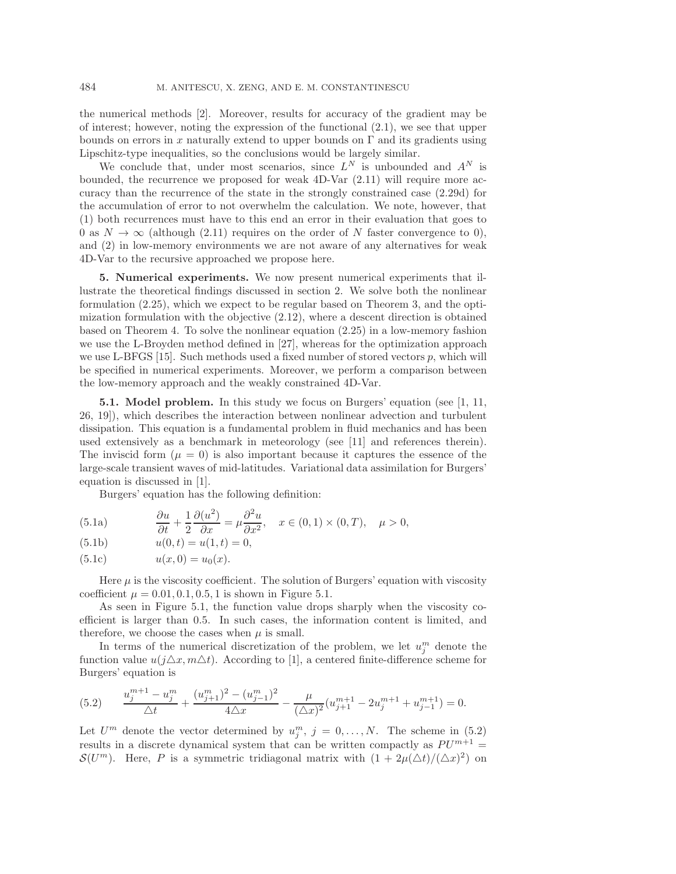the numerical methods [2]. Moreover, results for accuracy of the gradient may be of interest; however, noting the expression of the functional (2.1), we see that upper bounds on errors in x naturally extend to upper bounds on  $\Gamma$  and its gradients using Lipschitz-type inequalities, so the conclusions would be largely similar.

We conclude that, under most scenarios, since  $L^N$  is unbounded and  $A^N$  is bounded, the recurrence we proposed for weak 4D-Var (2.11) will require more accuracy than the recurrence of the state in the strongly constrained case (2.29d) for the accumulation of error to not overwhelm the calculation. We note, however, that (1) both recurrences must have to this end an error in their evaluation that goes to 0 as  $N \to \infty$  (although (2.11) requires on the order of N faster convergence to 0), and (2) in low-memory environments we are not aware of any alternatives for weak 4D-Var to the recursive approached we propose here.

**5. Numerical experiments.** We now present numerical experiments that illustrate the theoretical findings discussed in section 2. We solve both the nonlinear formulation (2.25), which we expect to be regular based on Theorem 3, and the optimization formulation with the objective  $(2.12)$ , where a descent direction is obtained based on Theorem 4. To solve the nonlinear equation (2.25) in a low-memory fashion we use the L-Broyden method defined in [27], whereas for the optimization approach we use L-BFGS  $[15]$ . Such methods used a fixed number of stored vectors p, which will be specified in numerical experiments. Moreover, we perform a comparison between the low-memory approach and the weakly constrained 4D-Var.

**5.1. Model problem.** In this study we focus on Burgers' equation (see [1, 11, 26, 19]), which describes the interaction between nonlinear advection and turbulent dissipation. This equation is a fundamental problem in fluid mechanics and has been used extensively as a benchmark in meteorology (see [11] and references therein). The inviscid form  $(\mu = 0)$  is also important because it captures the essence of the large-scale transient waves of mid-latitudes. Variational data assimilation for Burgers' equation is discussed in [1].

Burgers' equation has the following definition:

(5.1a) 
$$
\frac{\partial u}{\partial t} + \frac{1}{2} \frac{\partial (u^2)}{\partial x} = \mu \frac{\partial^2 u}{\partial x^2}, \quad x \in (0, 1) \times (0, T), \quad \mu > 0,
$$

(5.1b) 
$$
u(0,t) = u(1,t) = 0,
$$

(5.1c) 
$$
u(x, 0) = u_0(x).
$$

Here  $\mu$  is the viscosity coefficient. The solution of Burgers' equation with viscosity coefficient  $\mu = 0.01, 0.1, 0.5, 1$  is shown in Figure 5.1.

As seen in Figure 5.1, the function value drops sharply when the viscosity coefficient is larger than 0.5. In such cases, the information content is limited, and therefore, we choose the cases when  $\mu$  is small.

In terms of the numerical discretization of the problem, we let  $u_i^m$  denote the function value  $u(j\Delta x, m\Delta t)$ . According to [1], a centered finite-difference scheme for Burgers' equation is

$$
(5.2) \qquad \frac{u_j^{m+1}-u_j^m}{\triangle t}+\frac{(u_{j+1}^m)^2-(u_{j-1}^m)^2}{4\triangle x}-\frac{\mu}{(\triangle x)^2}(u_{j+1}^{m+1}-2u_j^{m+1}+u_{j-1}^{m+1})=0.
$$

Let  $U^m$  denote the vector determined by  $u_j^m$ ,  $j = 0, \ldots, N$ . The scheme in (5.2) results in a discrete dynamical system that can be written compactly as  $PU^{m+1}$  =  $\mathcal{S}(U^m)$ . Here, P is a symmetric tridiagonal matrix with  $(1 + 2\mu(\Delta t)/(\Delta x)^2)$  on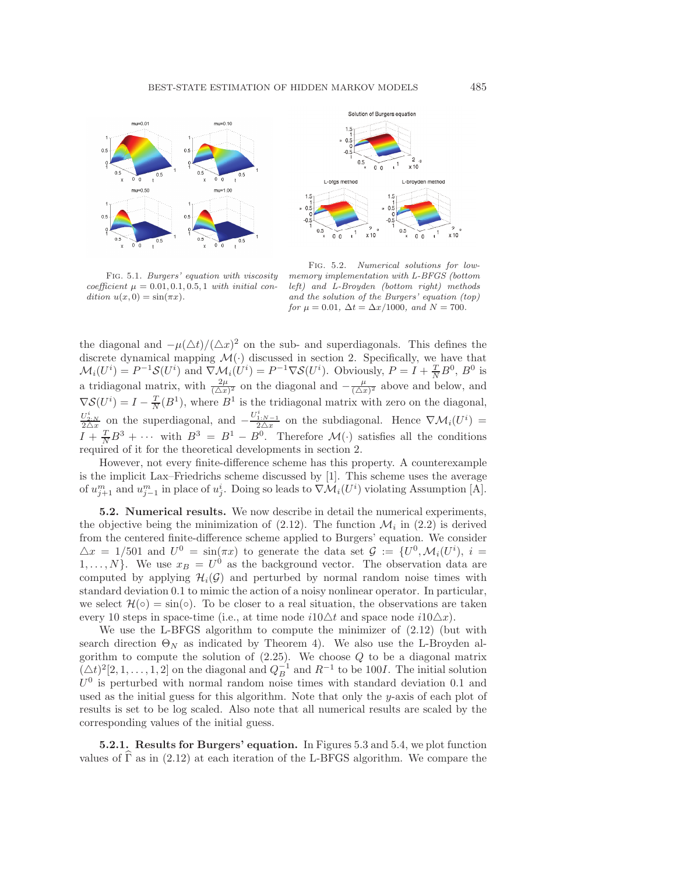



Fig. 5.1. Burgers' equation with viscosity coefficient  $\mu = 0.01, 0.1, 0.5, 1$  with initial condition  $u(x, 0) = \sin(\pi x)$ .

Fig. 5.2. Numerical solutions for lowmemory implementation with L-BFGS (bottom left) and L-Broyden (bottom right) methods and the solution of the Burgers' equation (top) for  $\mu = 0.01$ ,  $\Delta t = \Delta x/1000$ , and  $N = 700$ .

the diagonal and  $-\mu(\Delta t)/(\Delta x)^2$  on the sub- and superdiagonals. This defines the discrete dynamical mapping  $\mathcal{M}(\cdot)$  discussed in section 2. Specifically, we have that  $\mathcal{M}_i(U^i) = P^{-1}\mathcal{S}(U^i)$  and  $\nabla \mathcal{M}_i(U^i) = P^{-1}\nabla \mathcal{S}(U^i)$ . Obviously,  $P = I + \frac{T}{N}B^0$ ,  $B^0$  is a tridiagonal matrix, with  $\frac{2\mu}{(\Delta x)^2}$  on the diagonal and  $-\frac{\mu}{(\Delta x)^2}$  above and below, and  $\nabla \mathcal{S}(U^i) = I - \frac{T}{N}(B^1)$ , where  $B^1$  is the tridiagonal matrix with zero on the diagonal,  $\frac{U_{2:N}^i}{2\Delta x}$  on the superdiagonal, and  $-\frac{U_{1:N-1}^i}{2\Delta x}$  on the subdiagonal. Hence  $\nabla \mathcal{M}_i(U^i)$  =  $I + \frac{T}{N}B^3 + \cdots$  with  $B^3 = B^1 - B^0$ . Therefore  $\mathcal{M}(\cdot)$  satisfies all the conditions required of it for the theoretical developments in section 2.

However, not every finite-difference scheme has this property. A counterexample is the implicit Lax–Friedrichs scheme discussed by [1]. This scheme uses the average of  $u_{j+1}^m$  and  $u_{j-1}^m$  in place of  $u_j^i$ . Doing so leads to  $\nabla \mathcal{M}_i(U^i)$  violating Assumption [A].

**5.2. Numerical results.** We now describe in detail the numerical experiments, the objective being the minimization of  $(2.12)$ . The function  $\mathcal{M}_i$  in  $(2.2)$  is derived from the centered finite-difference scheme applied to Burgers' equation. We consider  $\Delta x = 1/501$  and  $U^0 = \sin(\pi x)$  to generate the data set  $\mathcal{G} := \{U^0, \mathcal{M}_i(U^i), i =$  $1,\ldots,N$ . We use  $x_B = U^0$  as the background vector. The observation data are computed by applying  $\mathcal{H}_i(\mathcal{G})$  and perturbed by normal random noise times with standard deviation 0.1 to mimic the action of a noisy nonlinear operator. In particular, we select  $\mathcal{H}(\circ) = \sin(\circ)$ . To be closer to a real situation, the observations are taken every 10 steps in space-time (i.e., at time node  $i10\Delta t$  and space node  $i10\Delta x$ ).

We use the L-BFGS algorithm to compute the minimizer of  $(2.12)$  (but with search direction  $\Theta_N$  as indicated by Theorem 4). We also use the L-Broyden algorithm to compute the solution of  $(2.25)$ . We choose  $Q$  to be a diagonal matrix  $(\triangle t)^2[2, 1, \ldots, 1, 2]$  on the diagonal and  $Q_B^{-1}$  and  $R^{-1}$  to be 100*I*. The initial solution  $U^0$  is perturbed with normal random noise times with standard deviation 0.1 and used as the initial guess for this algorithm. Note that only the y-axis of each plot of results is set to be log scaled. Also note that all numerical results are scaled by the corresponding values of the initial guess.

**5.2.1. Results for Burgers' equation.** In Figures 5.3 and 5.4, we plot function values of  $\Gamma$  as in (2.12) at each iteration of the L-BFGS algorithm. We compare the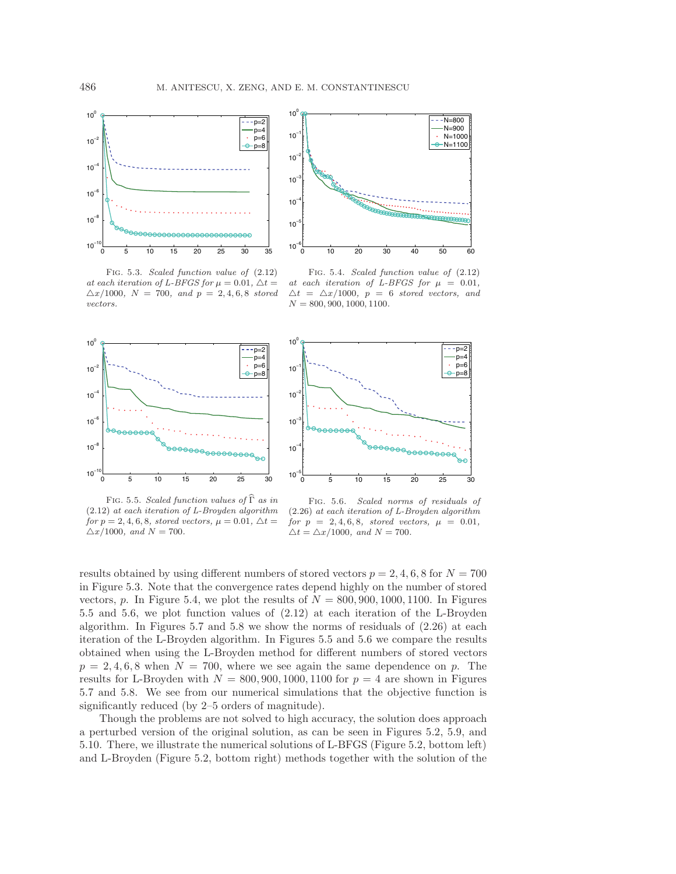



FIG. 5.3. Scaled function value of  $(2.12)$ at each iteration of L-BFGS for  $\mu = 0.01$ ,  $\Delta t =$  $\Delta x/1000$ ,  $N = 700$ , and  $p = 2, 4, 6, 8$  stored vectors.

Fig. 5.4. Scaled function value of (2.12) at each iteration of L-BFGS for  $\mu = 0.01$ ,  $\Delta t = \Delta x/1000$ ,  $p = 6$  stored vectors, and  $N = 800, 900, 1000, 1100.$ 





(2.12) at each iteration of L-Broyden algorithm for  $p = 2, 4, 6, 8$ , stored vectors,  $\mu = 0.01$ ,  $\Delta t =$  $\triangle x/1000$ , and  $N = 700$ .

Fig. 5.6. Scaled norms of residuals of (2.26) at each iteration of L-Broyden algorithm for  $p = 2, 4, 6, 8$ , stored vectors,  $\mu = 0.01$ ,  $\triangle t = \triangle x/1000$ , and  $N = 700$ .

results obtained by using different numbers of stored vectors  $p = 2, 4, 6, 8$  for  $N = 700$ in Figure 5.3. Note that the convergence rates depend highly on the number of stored vectors, p. In Figure 5.4, we plot the results of  $N = 800, 900, 1000, 1100$ . In Figures 5.5 and 5.6, we plot function values of (2.12) at each iteration of the L-Broyden algorithm. In Figures 5.7 and 5.8 we show the norms of residuals of  $(2.26)$  at each iteration of the L-Broyden algorithm. In Figures 5.5 and 5.6 we compare the results obtained when using the L-Broyden method for different numbers of stored vectors  $p = 2, 4, 6, 8$  when  $N = 700$ , where we see again the same dependence on p. The results for L-Broyden with  $N = 800, 900, 1000, 1100$  for  $p = 4$  are shown in Figures 5.7 and 5.8. We see from our numerical simulations that the objective function is significantly reduced (by 2–5 orders of magnitude).

Though the problems are not solved to high accuracy, the solution does approach a perturbed version of the original solution, as can be seen in Figures 5.2, 5.9, and 5.10. There, we illustrate the numerical solutions of L-BFGS (Figure 5.2, bottom left) and L-Broyden (Figure 5.2, bottom right) methods together with the solution of the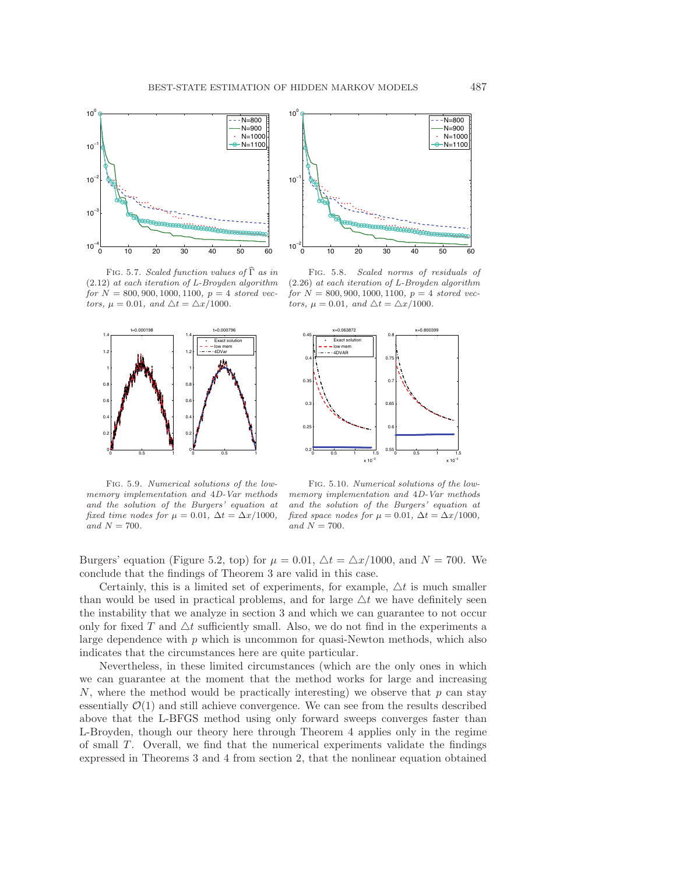



(2.12) at each iteration of L-Broyden algorithm for  $N = 800, 900, 1000, 1100, p = 4$  stored vectors,  $\mu = 0.01$ , and  $\Delta t = \Delta x/1000$ .



Fig. 5.8. Scaled norms of residuals of (2.26) at each iteration of L-Broyden algorithm for  $N = 800, 900, 1000, 1100, p = 4$  stored vectors,  $\mu = 0.01$ , and  $\Delta t = \Delta x/1000$ .



Fig. 5.9. Numerical solutions of the lowmemory implementation and 4D-Var methods and the solution of the Burgers' equation at fixed time nodes for  $\mu = 0.01$ ,  $\Delta t = \Delta x/1000$ , and  $N = 700$ .

Fig. 5.10. Numerical solutions of the lowmemory implementation and 4D-Var methods and the solution of the Burgers' equation at fixed space nodes for  $\mu = 0.01$ ,  $\Delta t = \Delta x/1000$ , and  $N = 700$ .

Burgers' equation (Figure 5.2, top) for  $\mu = 0.01$ ,  $\Delta t = \Delta x/1000$ , and  $N = 700$ . We conclude that the findings of Theorem 3 are valid in this case.

Certainly, this is a limited set of experiments, for example,  $\Delta t$  is much smaller than would be used in practical problems, and for large  $\Delta t$  we have definitely seen the instability that we analyze in section 3 and which we can guarantee to not occur only for fixed T and  $\Delta t$  sufficiently small. Also, we do not find in the experiments a large dependence with  $p$  which is uncommon for quasi-Newton methods, which also indicates that the circumstances here are quite particular.

Nevertheless, in these limited circumstances (which are the only ones in which we can guarantee at the moment that the method works for large and increasing  $N$ , where the method would be practically interesting) we observe that  $p$  can stay essentially  $\mathcal{O}(1)$  and still achieve convergence. We can see from the results described above that the L-BFGS method using only forward sweeps converges faster than L-Broyden, though our theory here through Theorem 4 applies only in the regime of small  $T$ . Overall, we find that the numerical experiments validate the findings expressed in Theorems 3 and 4 from section 2, that the nonlinear equation obtained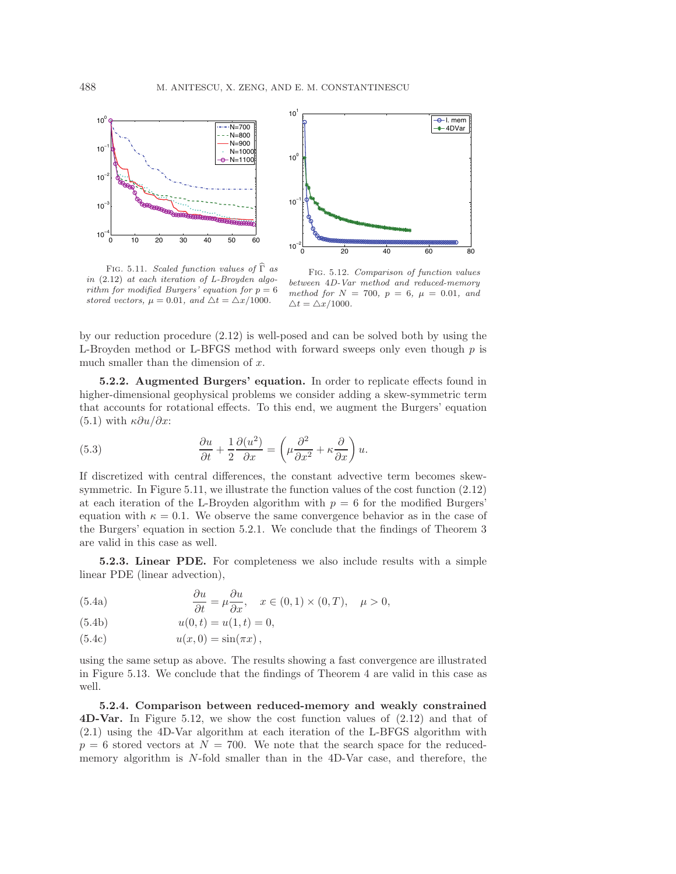



in (2.12) at each iteration of L-Broyden algorithm for modified Burgers' equation for  $p = 6$ stored vectors,  $\mu = 0.01$ , and  $\Delta t = \Delta x/1000$ .

Fig. 5.12. Comparison of function values between 4D-Var method and reduced-memory method for  $N = 700$ ,  $p = 6$ ,  $\mu = 0.01$ , and  $\triangle t = \triangle x/1000.$ 

by our reduction procedure (2.12) is well-posed and can be solved both by using the L-Broyden method or L-BFGS method with forward sweeps only even though  $p$  is much smaller than the dimension of  $x$ .

**5.2.2. Augmented Burgers' equation.** In order to replicate effects found in higher-dimensional geophysical problems we consider adding a skew-symmetric term that accounts for rotational effects. To this end, we augment the Burgers' equation  $(5.1)$  with  $\kappa \partial u/\partial x$ :

(5.3) 
$$
\frac{\partial u}{\partial t} + \frac{1}{2} \frac{\partial (u^2)}{\partial x} = \left( \mu \frac{\partial^2}{\partial x^2} + \kappa \frac{\partial}{\partial x} \right) u.
$$

If discretized with central differences, the constant advective term becomes skewsymmetric. In Figure 5.11, we illustrate the function values of the cost function  $(2.12)$ at each iteration of the L-Broyden algorithm with  $p = 6$  for the modified Burgers' equation with  $\kappa = 0.1$ . We observe the same convergence behavior as in the case of the Burgers' equation in section 5.2.1. We conclude that the findings of Theorem 3 are valid in this case as well.

**5.2.3. Linear PDE.** For completeness we also include results with a simple linear PDE (linear advection),

(5.4a) 
$$
\frac{\partial u}{\partial t} = \mu \frac{\partial u}{\partial x}, \quad x \in (0, 1) \times (0, T), \quad \mu > 0,
$$

(5.4b) 
$$
u(0,t) = u(1,t) = 0,
$$

$$
(5.4c) \t\t u(x,0) = \sin(\pi x),
$$

using the same setup as above. The results showing a fast convergence are illustrated in Figure 5.13. We conclude that the findings of Theorem 4 are valid in this case as well.

**5.2.4. Comparison between reduced-memory and weakly constrained 4D-Var.** In Figure 5.12, we show the cost function values of (2.12) and that of (2.1) using the 4D-Var algorithm at each iteration of the L-BFGS algorithm with  $p = 6$  stored vectors at  $N = 700$ . We note that the search space for the reducedmemory algorithm is N-fold smaller than in the 4D-Var case, and therefore, the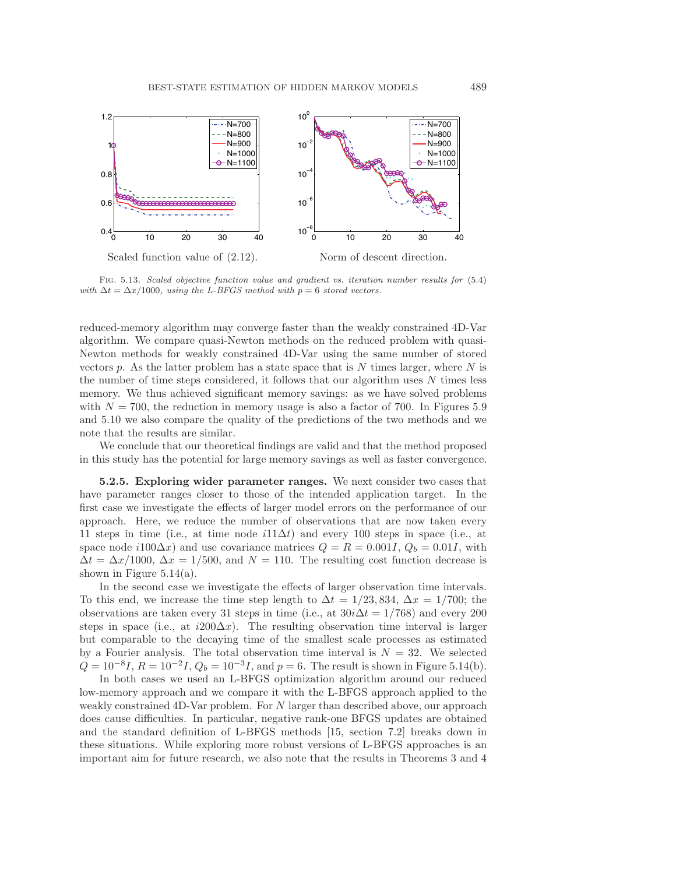

Fig. 5.13. Scaled objective function value and gradient vs. iteration number results for (5.4) with  $\Delta t = \Delta x/1000$ , using the L-BFGS method with  $p = 6$  stored vectors.

reduced-memory algorithm may converge faster than the weakly constrained 4D-Var algorithm. We compare quasi-Newton methods on the reduced problem with quasi-Newton methods for weakly constrained 4D-Var using the same number of stored vectors p. As the latter problem has a state space that is  $N$  times larger, where  $N$  is the number of time steps considered, it follows that our algorithm uses N times less memory. We thus achieved significant memory savings: as we have solved problems with  $N = 700$ , the reduction in memory usage is also a factor of 700. In Figures 5.9 and 5.10 we also compare the quality of the predictions of the two methods and we note that the results are similar.

We conclude that our theoretical findings are valid and that the method proposed in this study has the potential for large memory savings as well as faster convergence.

**5.2.5. Exploring wider parameter ranges.** We next consider two cases that have parameter ranges closer to those of the intended application target. In the first case we investigate the effects of larger model errors on the performance of our approach. Here, we reduce the number of observations that are now taken every 11 steps in time (i.e., at time node  $i11\Delta t$ ) and every 100 steps in space (i.e., at space node i100 $\Delta x$ ) and use covariance matrices  $Q = R = 0.001I$ ,  $Q_b = 0.01I$ , with  $\Delta t = \Delta x/1000$ ,  $\Delta x = 1/500$ , and  $N = 110$ . The resulting cost function decrease is shown in Figure 5.14(a).

In the second case we investigate the effects of larger observation time intervals. To this end, we increase the time step length to  $\Delta t = 1/23,834, \Delta x = 1/700$ ; the observations are taken every 31 steps in time (i.e., at  $30i\Delta t = 1/768$ ) and every 200 steps in space (i.e., at  $i200\Delta x$ ). The resulting observation time interval is larger but comparable to the decaying time of the smallest scale processes as estimated by a Fourier analysis. The total observation time interval is  $N = 32$ . We selected  $Q = 10^{-8}I$ ,  $R = 10^{-2}I$ ,  $Q_b = 10^{-3}I$ , and  $p = 6$ . The result is shown in Figure 5.14(b).

In both cases we used an L-BFGS optimization algorithm around our reduced low-memory approach and we compare it with the L-BFGS approach applied to the weakly constrained 4D-Var problem. For N larger than described above, our approach does cause difficulties. In particular, negative rank-one BFGS updates are obtained and the standard definition of L-BFGS methods [15, section 7.2] breaks down in these situations. While exploring more robust versions of L-BFGS approaches is an important aim for future research, we also note that the results in Theorems 3 and 4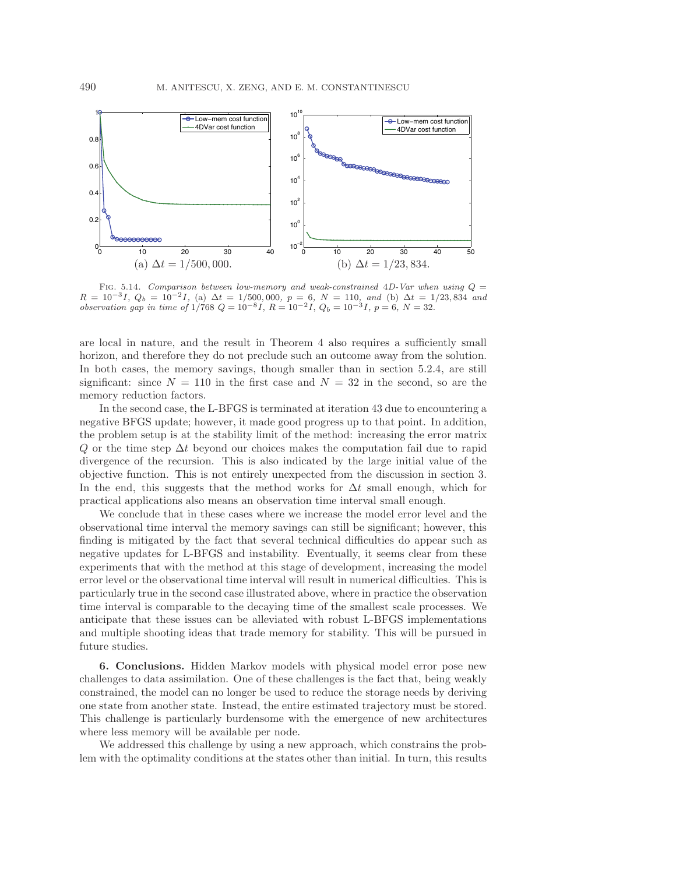

FIG. 5.14. Comparison between low-memory and weak-constrained  $4D-Var$  when using  $Q =$  $R = 10^{-3}I$ ,  $Q_b = 10^{-2}I$ , (a)  $\Delta t = 1/500,000$ ,  $p = 6$ ,  $N = 110$ , and (b)  $\Delta t = 1/23,834$  and observation gap in time of 1/768  $Q = 10^{-8}I$ ,  $R = 10^{-2}I$ ,  $Q_b = 10^{-3}I$ ,  $p = 6$ ,  $N = 32$ .

are local in nature, and the result in Theorem 4 also requires a sufficiently small horizon, and therefore they do not preclude such an outcome away from the solution. In both cases, the memory savings, though smaller than in section 5.2.4, are still significant: since  $N = 110$  in the first case and  $N = 32$  in the second, so are the memory reduction factors.

In the second case, the L-BFGS is terminated at iteration 43 due to encountering a negative BFGS update; however, it made good progress up to that point. In addition, the problem setup is at the stability limit of the method: increasing the error matrix  $Q$  or the time step  $\Delta t$  beyond our choices makes the computation fail due to rapid divergence of the recursion. This is also indicated by the large initial value of the objective function. This is not entirely unexpected from the discussion in section 3. In the end, this suggests that the method works for  $\Delta t$  small enough, which for practical applications also means an observation time interval small enough.

We conclude that in these cases where we increase the model error level and the observational time interval the memory savings can still be significant; however, this finding is mitigated by the fact that several technical difficulties do appear such as negative updates for L-BFGS and instability. Eventually, it seems clear from these experiments that with the method at this stage of development, increasing the model error level or the observational time interval will result in numerical difficulties. This is particularly true in the second case illustrated above, where in practice the observation time interval is comparable to the decaying time of the smallest scale processes. We anticipate that these issues can be alleviated with robust L-BFGS implementations and multiple shooting ideas that trade memory for stability. This will be pursued in future studies.

**6. Conclusions.** Hidden Markov models with physical model error pose new challenges to data assimilation. One of these challenges is the fact that, being weakly constrained, the model can no longer be used to reduce the storage needs by deriving one state from another state. Instead, the entire estimated trajectory must be stored. This challenge is particularly burdensome with the emergence of new architectures where less memory will be available per node.

We addressed this challenge by using a new approach, which constrains the problem with the optimality conditions at the states other than initial. In turn, this results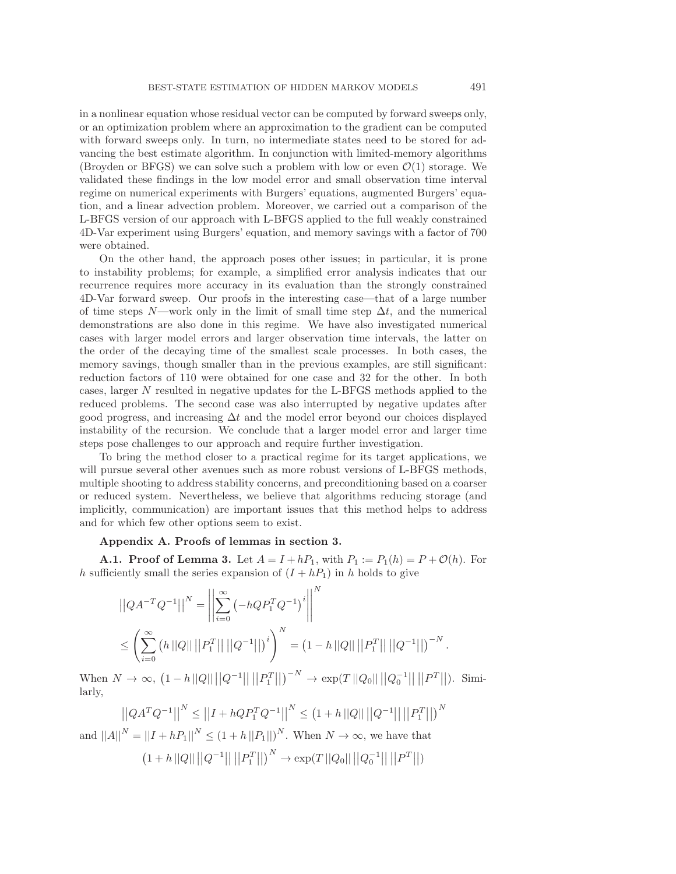in a nonlinear equation whose residual vector can be computed by forward sweeps only, or an optimization problem where an approximation to the gradient can be computed with forward sweeps only. In turn, no intermediate states need to be stored for advancing the best estimate algorithm. In conjunction with limited-memory algorithms (Broyden or BFGS) we can solve such a problem with low or even  $\mathcal{O}(1)$  storage. We validated these findings in the low model error and small observation time interval regime on numerical experiments with Burgers' equations, augmented Burgers' equation, and a linear advection problem. Moreover, we carried out a comparison of the L-BFGS version of our approach with L-BFGS applied to the full weakly constrained 4D-Var experiment using Burgers' equation, and memory savings with a factor of 700 were obtained.

On the other hand, the approach poses other issues; in particular, it is prone to instability problems; for example, a simplified error analysis indicates that our recurrence requires more accuracy in its evaluation than the strongly constrained 4D-Var forward sweep. Our proofs in the interesting case—that of a large number of time steps N—work only in the limit of small time step  $\Delta t$ , and the numerical demonstrations are also done in this regime. We have also investigated numerical cases with larger model errors and larger observation time intervals, the latter on the order of the decaying time of the smallest scale processes. In both cases, the memory savings, though smaller than in the previous examples, are still significant: reduction factors of 110 were obtained for one case and 32 for the other. In both cases, larger N resulted in negative updates for the L-BFGS methods applied to the reduced problems. The second case was also interrupted by negative updates after good progress, and increasing  $\Delta t$  and the model error beyond our choices displayed instability of the recursion. We conclude that a larger model error and larger time steps pose challenges to our approach and require further investigation.

To bring the method closer to a practical regime for its target applications, we will pursue several other avenues such as more robust versions of L-BFGS methods, multiple shooting to address stability concerns, and preconditioning based on a coarser or reduced system. Nevertheless, we believe that algorithms reducing storage (and implicitly, communication) are important issues that this method helps to address and for which few other options seem to exist.

## **Appendix A. Proofs of lemmas in section 3.**

**A.1. Proof of Lemma 3.** Let  $A = I + hP_1$ , with  $P_1 := P_1(h) = P + \mathcal{O}(h)$ . For h sufficiently small the series expansion of  $(I + hP_1)$  in h holds to give

$$
||QA^{-T}Q^{-1}||^{N} = \left\| \sum_{i=0}^{\infty} (-hQP_1^TQ^{-1})^i \right\|^{N}
$$
  

$$
\leq \left( \sum_{i=0}^{\infty} (h ||Q|| ||P_1^T|| ||Q^{-1}||)^i \right)^{N} = (1 - h ||Q|| ||P_1^T|| ||Q^{-1}||)^{-N}.
$$

When  $N \to \infty$ ,  $(1-h||Q|| ||Q^{-1}|| ||P_1^T||)^{-N} \to \exp(T||Q_0|| ||Q_0^{-1}|| ||P^T||)$ . Similarly,

$$
||QA^TQ^{-1}||^N \le ||I + hQP_1^TQ^{-1}||^N \le (1 + h||Q|| ||Q^{-1}|| ||P_1^T||)^N
$$

and  $||A||^N = ||I + hP_1||^N \le (1 + h ||P_1||)^N$ . When  $N \to \infty$ , we have that

$$
\left(1+h\left|\left|Q\right|\right|\left|\left|Q^{-1}\right|\right|\left|\left|P_{1}^{T}\right|\right|\right)^{N}\to\exp(T\left|\left|Q_{0}\right|\right|\left|\left|Q_{0}^{-1}\right|\right|\left|\left|P^{T}\right|\right|)
$$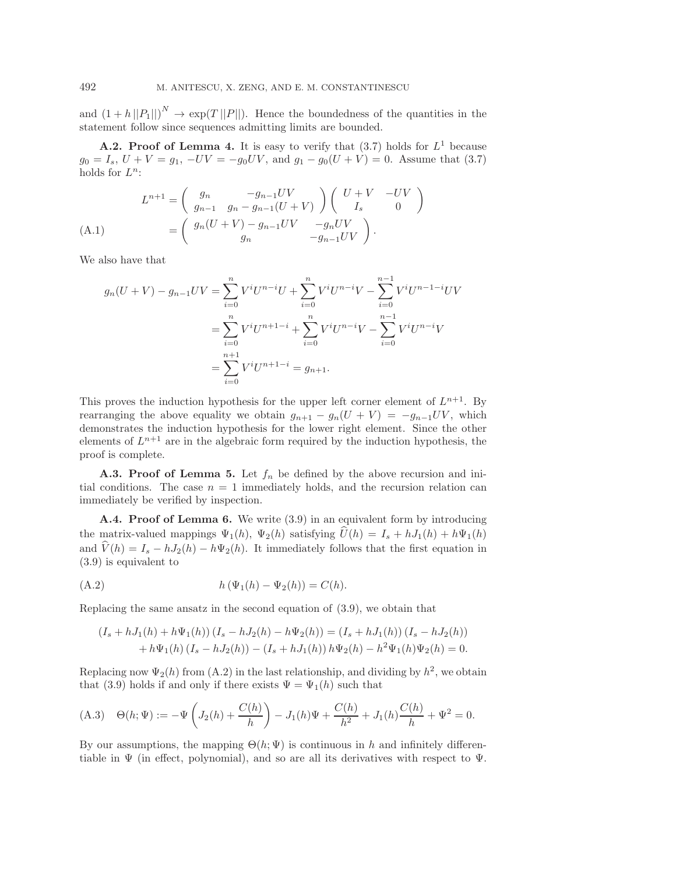and  $(1+h||P_1||)^N \to \exp(T||P||)$ . Hence the boundedness of the quantities in the statement follow since sequences admitting limits are bounded.

**A.2. Proof of Lemma 4.** It is easy to verify that  $(3.7)$  holds for  $L<sup>1</sup>$  because  $g_0 = I_s, U + V = g_1, -UV = -g_0UV,$  and  $g_1 - g_0(U + V) = 0$ . Assume that (3.7) holds for  $L^n$ :

$$
L^{n+1} = \begin{pmatrix} g_n & -g_{n-1}UV \\ g_{n-1} & g_n - g_{n-1}(U+V) \end{pmatrix} \begin{pmatrix} U+V & -UV \\ I_s & 0 \end{pmatrix}
$$
  
(A.1)  

$$
= \begin{pmatrix} g_n(U+V) - g_{n-1}UV & -g_nUV \\ g_n & -g_{n-1}UV \end{pmatrix}.
$$

We also have that

$$
g_n(U+V) - g_{n-1}UV = \sum_{i=0}^n V^i U^{n-i} U + \sum_{i=0}^n V^i U^{n-i} V - \sum_{i=0}^{n-1} V^i U^{n-1-i} UV
$$
  

$$
= \sum_{i=0}^n V^i U^{n+1-i} + \sum_{i=0}^n V^i U^{n-i} V - \sum_{i=0}^{n-1} V^i U^{n-i} V
$$
  

$$
= \sum_{i=0}^{n+1} V^i U^{n+1-i} = g_{n+1}.
$$

This proves the induction hypothesis for the upper left corner element of  $L^{n+1}$ . By rearranging the above equality we obtain  $g_{n+1} - g_n(U + V) = -g_{n-1}UV$ , which demonstrates the induction hypothesis for the lower right element. Since the other elements of  $L^{n+1}$  are in the algebraic form required by the induction hypothesis, the proof is complete.

**A.3. Proof of Lemma 5.** Let  $f_n$  be defined by the above recursion and initial conditions. The case  $n = 1$  immediately holds, and the recursion relation can immediately be verified by inspection.

**A.4. Proof of Lemma 6.** We write (3.9) in an equivalent form by introducing the matrix-valued mappings  $\Psi_1(h)$ ,  $\Psi_2(h)$  satisfying  $\hat{U}(h) = I_s + hJ_1(h) + h\Psi_1(h)$ and  $\hat{V}(h) = I_s - hJ_2(h) - h\Psi_2(h)$ . It immediately follows that the first equation in (3.9) is equivalent to

(A.2) 
$$
h(\Psi_1(h) - \Psi_2(h)) = C(h).
$$

Replacing the same ansatz in the second equation of (3.9), we obtain that

$$
(I_s + hJ_1(h) + h\Psi_1(h)) (I_s - hJ_2(h) - h\Psi_2(h)) = (I_s + hJ_1(h)) (I_s - hJ_2(h))
$$
  
+  $h\Psi_1(h) (I_s - hJ_2(h)) - (I_s + hJ_1(h)) h\Psi_2(h) - h^2\Psi_1(h)\Psi_2(h) = 0.$ 

Replacing now  $\Psi_2(h)$  from (A.2) in the last relationship, and dividing by  $h^2$ , we obtain that (3.9) holds if and only if there exists  $\Psi = \Psi_1(h)$  such that

(A.3) 
$$
\Theta(h; \Psi) := -\Psi\left(J_2(h) + \frac{C(h)}{h}\right) - J_1(h)\Psi + \frac{C(h)}{h^2} + J_1(h)\frac{C(h)}{h} + \Psi^2 = 0.
$$

By our assumptions, the mapping  $\Theta(h; \Psi)$  is continuous in h and infinitely differentiable in  $\Psi$  (in effect, polynomial), and so are all its derivatives with respect to  $\Psi$ .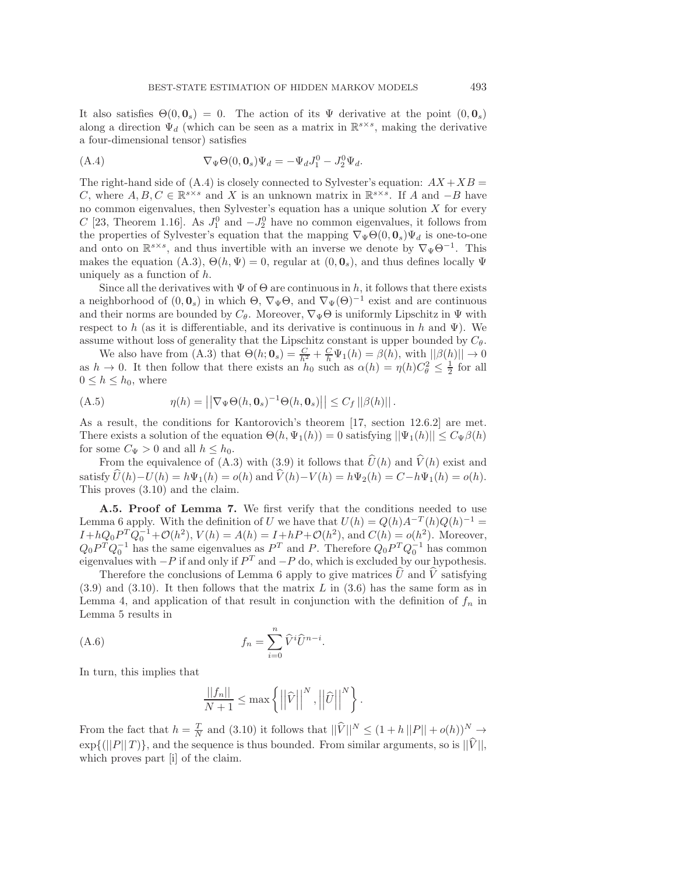It also satisfies  $\Theta(0, \mathbf{0}_s) = 0$ . The action of its  $\Psi$  derivative at the point  $(0, \mathbf{0}_s)$ along a direction  $\Psi_d$  (which can be seen as a matrix in  $\mathbb{R}^{s \times s}$ , making the derivative a four-dimensional tensor) satisfies

(A.4) 
$$
\nabla_{\Psi}\Theta(0,\mathbf{0}_s)\Psi_d = -\Psi_d J_1^0 - J_2^0 \Psi_d.
$$

The right-hand side of (A.4) is closely connected to Sylvester's equation:  $AX + XB =$ C, where  $A, B, C \in \mathbb{R}^{s \times s}$  and X is an unknown matrix in  $\mathbb{R}^{s \times s}$ . If A and  $-B$  have no common eigenvalues, then Sylvester's equation has a unique solution  $X$  for every C [23, Theorem 1.16]. As  $J_1^0$  and  $-J_2^0$  have no common eigenvalues, it follows from the properties of Sylvester's equation that the mapping  $\nabla_{\Psi}\Theta(0,\mathbf{0}_s)\Psi_d$  is one-to-one and onto on  $\mathbb{R}^{s \times s}$ , and thus invertible with an inverse we denote by  $\nabla_{\Psi} \Theta^{-1}$ . This makes the equation (A.3),  $\Theta(h, \Psi) = 0$ , regular at  $(0, \mathbf{0}_s)$ , and thus defines locally  $\Psi$ uniquely as a function of h.

Since all the derivatives with  $\Psi$  of  $\Theta$  are continuous in h, it follows that there exists a neighborhood of  $(0, \mathbf{0}_s)$  in which  $\Theta$ ,  $\nabla_{\Psi} \Theta$ , and  $\nabla_{\Psi} (\Theta)^{-1}$  exist and are continuous and their norms are bounded by  $C_{\theta}$ . Moreover,  $\nabla_{\Psi}\Theta$  is uniformly Lipschitz in  $\Psi$  with respect to h (as it is differentiable, and its derivative is continuous in h and  $\Psi$ ). We assume without loss of generality that the Lipschitz constant is upper bounded by  $C_{\theta}$ .

We also have from (A.3) that  $\Theta(h; \mathbf{0}_s) = \frac{C}{h^2} + \frac{C}{h} \Psi_1(h) = \beta(h)$ , with  $||\beta(h)|| \to 0$ as  $h \to 0$ . It then follow that there exists an  $h_0$  such as  $\alpha(h) = \eta(h)C_\theta^2 \leq \frac{1}{2}$  for all  $0 \leq h \leq h_0$ , where

(A.5) 
$$
\eta(h) = \left| \left| \nabla_{\Psi} \Theta(h, \mathbf{0}_s)^{-1} \Theta(h, \mathbf{0}_s) \right| \right| \leq C_f \left| \left| \beta(h) \right| \right|.
$$

As a result, the conditions for Kantorovich's theorem [17, section 12.6.2] are met. There exists a solution of the equation  $\Theta(h, \Psi_1(h)) = 0$  satisfying  $||\Psi_1(h)|| \leq C_{\Psi} \beta(h)$ for some  $C_{\Psi} > 0$  and all  $h \leq h_0$ .

From the equivalence of (A.3) with (3.9) it follows that  $\hat{U}(h)$  and  $\hat{V}(h)$  exist and satisfy  $\widehat{U}(h) - U(h) = h\Psi_1(h) = o(h)$  and  $\widehat{V}(h) - V(h) = h\Psi_2(h) = C - h\Psi_1(h) = o(h)$ . This proves (3.10) and the claim.

**A.5. Proof of Lemma 7.** We first verify that the conditions needed to use Lemma 6 apply. With the definition of U we have that  $U(h) = Q(h)A^{-T}(h)Q(h)^{-1}$  $I + hQ_0 P^T Q_0^{-1} + \mathcal{O}(h^2), V(h) = A(h) = I + hP + \mathcal{O}(h^2), \text{ and } C(h) = o(h^2).$  Moreover,  $Q_0 P^T Q_0^{-1}$  has the same eigenvalues as  $P^T$  and P. Therefore  $Q_0 P^T Q_0^{-1}$  has common eigenvalues with  $-P$  if and only if  $P<sup>T</sup>$  and  $-P$  do, which is excluded by our hypothesis.

Therefore the conclusions of Lemma 6 apply to give matrices  $\hat{U}$  and  $\hat{V}$  satisfying  $(3.9)$  and  $(3.10)$ . It then follows that the matrix L in  $(3.6)$  has the same form as in Lemma 4, and application of that result in conjunction with the definition of  $f_n$  in Lemma 5 results in

(A.6) 
$$
f_n = \sum_{i=0}^n \widehat{V}^i \widehat{U}^{n-i}.
$$

In turn, this implies that

$$
\frac{||f_n||}{N+1} \leq \max \left\{ \left| \left| \widehat{V} \right| \right|^{N},\left| \left| \widehat{U} \right| \right|^{N} \right\}.
$$

From the fact that  $h = \frac{T}{N}$  and (3.10) it follows that  $||\hat{V}||^N \leq (1 + h ||P|| + o(h))^N \rightarrow$  $\exp\{(||P||T)\}\$ , and the sequence is thus bounded. From similar arguments, so is  $||\vec{V}||$ , which proves part [i] of the claim.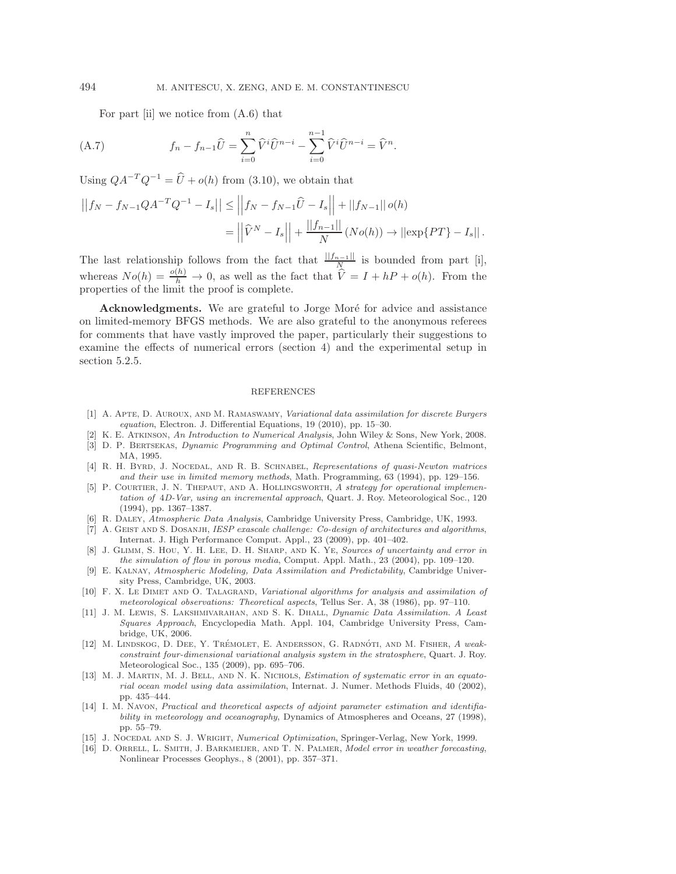For part [ii] we notice from (A.6) that

(A.7) 
$$
f_n - f_{n-1}\hat{U} = \sum_{i=0}^n \hat{V}^i \hat{U}^{n-i} - \sum_{i=0}^{n-1} \hat{V}^i \hat{U}^{n-i} = \hat{V}^n.
$$

Using  $QA^{-T}Q^{-1} = \hat{U} + o(h)$  from (3.10), we obtain that

$$
\left| \left| f_N - f_{N-1} Q A^{-T} Q^{-1} - I_s \right| \right| \le \left| \left| f_N - f_{N-1} \hat{U} - I_s \right| \right| + \left| \left| f_{N-1} \right| \right| o(h)
$$
  
= 
$$
\left| \left| \hat{V}^N - I_s \right| \right| + \frac{\left| \left| f_{n-1} \right| \right|}{N} \left( N o(h) \right) \to \left| \left| \exp \{ PT \} - I_s \right| \right|.
$$

The last relationship follows from the fact that  $\frac{||f_{n-1}||}{N}$  is bounded from part [i], whereas  $No(h) = \frac{o(h)}{h} \to 0$ , as well as the fact that  $\hat{V} = I + hP + o(h)$ . From the properties of the limit the proof is complete.

**Acknowledgments.** We are grateful to Jorge Moré for advice and assistance on limited-memory BFGS methods. We are also grateful to the anonymous referees for comments that have vastly improved the paper, particularly their suggestions to examine the effects of numerical errors (section 4) and the experimental setup in section 5.2.5.

## REFERENCES

- [1] A. Apte, D. Auroux, and M. Ramaswamy, Variational data assimilation for discrete Burgers equation, Electron. J. Differential Equations, 19 (2010), pp. 15–30.
- [2] K. E. Atkinson, An Introduction to Numerical Analysis, John Wiley & Sons, New York, 2008.
- [3] D. P. BERTSEKAS, Dynamic Programming and Optimal Control, Athena Scientific, Belmont, MA, 1995.
- [4] R. H. BYRD, J. NOCEDAL, AND R. B. SCHNABEL, Representations of quasi-Newton matrices and their use in limited memory methods, Math. Programming, 63 (1994), pp. 129–156.
- [5] P. COURTIER, J. N. THEPAUT, AND A. HOLLINGSWORTH, A strategy for operational implementation of 4D-Var, using an incremental approach, Quart. J. Roy. Meteorological Soc., 120 (1994), pp. 1367–1387.
- [6] R. Daley, Atmospheric Data Analysis, Cambridge University Press, Cambridge, UK, 1993.
- [7] A. GEIST AND S. DOSANJH, IESP exascale challenge: Co-design of architectures and algorithms, Internat. J. High Performance Comput. Appl., 23 (2009), pp. 401–402.
- [8] J. GLIMM, S. HOU, Y. H. LEE, D. H. SHARP, AND K. YE, Sources of uncertainty and error in the simulation of flow in porous media, Comput. Appl. Math., 23 (2004), pp. 109–120.
- [9] E. Kalnay, Atmospheric Modeling, Data Assimilation and Predictability, Cambridge University Press, Cambridge, UK, 2003.
- [10] F. X. LE DIMET AND O. TALAGRAND, Variational algorithms for analysis and assimilation of meteorological observations: Theoretical aspects, Tellus Ser. A, 38 (1986), pp. 97–110.
- [11] J. M. Lewis, S. LAKSHMIVARAHAN, AND S. K. DHALL, Dynamic Data Assimilation. A Least Squares Approach, Encyclopedia Math. Appl. 104, Cambridge University Press, Cambridge, UK, 2006.
- [12] M. LINDSKOG, D. DEE, Y. TRÉMOLET, E. ANDERSSON, G. RADNÓTI, AND M. FISHER, A weakconstraint four-dimensional variational analysis system in the stratosphere, Quart. J. Roy. Meteorological Soc., 135 (2009), pp. 695–706.
- [13] M. J. MARTIN, M. J. BELL, AND N. K. NICHOLS, *Estimation of systematic error in an equato*rial ocean model using data assimilation, Internat. J. Numer. Methods Fluids, 40 (2002), pp. 435–444.
- [14] I. M. Navon, Practical and theoretical aspects of adjoint parameter estimation and identifiability in meteorology and oceanography, Dynamics of Atmospheres and Oceans, 27 (1998), pp. 55–79.
- [15] J. Nocedal and S. J. Wright, Numerical Optimization, Springer-Verlag, New York, 1999.
- [16] D. ORRELL, L. SMITH, J. BARKMEIJER, AND T. N. PALMER, *Model error in weather forecasting*, Nonlinear Processes Geophys., 8 (2001), pp. 357–371.